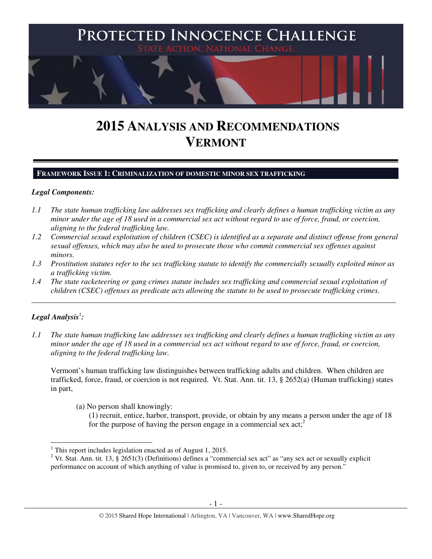

# **2015 ANALYSIS AND RECOMMENDATIONS VERMONT**

#### **FRAMEWORK ISSUE 1: CRIMINALIZATION OF DOMESTIC MINOR SEX TRAFFICKING**

#### *Legal Components:*

- *1.1 The state human trafficking law addresses sex trafficking and clearly defines a human trafficking victim as any minor under the age of 18 used in a commercial sex act without regard to use of force, fraud, or coercion, aligning to the federal trafficking law.*
- *1.2 Commercial sexual exploitation of children (CSEC) is identified as a separate and distinct offense from general sexual offenses, which may also be used to prosecute those who commit commercial sex offenses against minors.*
- *1.3 Prostitution statutes refer to the sex trafficking statute to identify the commercially sexually exploited minor as a trafficking victim.*

\_\_\_\_\_\_\_\_\_\_\_\_\_\_\_\_\_\_\_\_\_\_\_\_\_\_\_\_\_\_\_\_\_\_\_\_\_\_\_\_\_\_\_\_\_\_\_\_\_\_\_\_\_\_\_\_\_\_\_\_\_\_\_\_\_\_\_\_\_\_\_\_\_\_\_\_\_\_\_\_\_\_\_\_\_\_\_\_\_\_\_\_\_\_

*1.4 The state racketeering or gang crimes statute includes sex trafficking and commercial sexual exploitation of children (CSEC) offenses as predicate acts allowing the statute to be used to prosecute trafficking crimes.* 

# ${\it Legal Analysis^!}$ :

l

*1.1 The state human trafficking law addresses sex trafficking and clearly defines a human trafficking victim as any minor under the age of 18 used in a commercial sex act without regard to use of force, fraud, or coercion, aligning to the federal trafficking law.* 

Vermont's human trafficking law distinguishes between trafficking adults and children. When children are trafficked, force, fraud, or coercion is not required. Vt. Stat. Ann. tit. 13, § 2652(a) (Human trafficking) states in part,

(a) No person shall knowingly:

(1) recruit, entice, harbor, transport, provide, or obtain by any means a person under the age of 18 for the purpose of having the person engage in a commercial sex  $\text{act}^2$ 

<sup>&</sup>lt;sup>1</sup> This report includes legislation enacted as of August 1, 2015.

<sup>&</sup>lt;sup>2</sup> Vt. Stat. Ann. tit. 13, § 2651(3) (Definitions) defines a "commercial sex act" as "any sex act or sexually explicit performance on account of which anything of value is promised to, given to, or received by any person."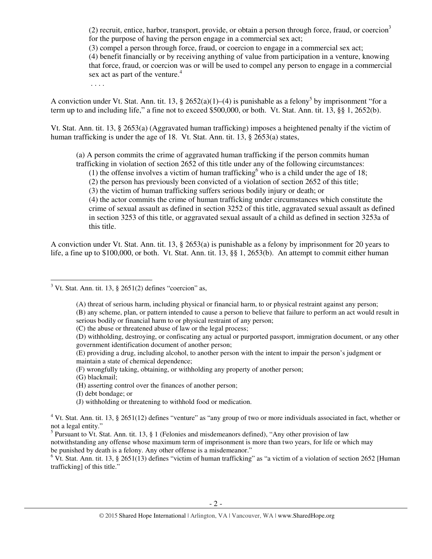$(2)$  recruit, entice, harbor, transport, provide, or obtain a person through force, fraud, or coercion<sup>3</sup> for the purpose of having the person engage in a commercial sex act;

(3) compel a person through force, fraud, or coercion to engage in a commercial sex act;

(4) benefit financially or by receiving anything of value from participation in a venture, knowing that force, fraud, or coercion was or will be used to compel any person to engage in a commercial sex act as part of the venture.<sup>4</sup>

. . . .

A conviction under Vt. Stat. Ann. tit. 13, § 2652(a)(1)–(4) is punishable as a felony<sup>5</sup> by imprisonment "for a term up to and including life," a fine not to exceed \$500,000, or both. Vt. Stat. Ann. tit. 13, §§ 1, 2652(b).

Vt. Stat. Ann. tit. 13, § 2653(a) (Aggravated human trafficking) imposes a heightened penalty if the victim of human trafficking is under the age of 18. Vt. Stat. Ann. tit. 13, § 2653(a) states,

(a) A person commits the crime of aggravated human trafficking if the person commits human trafficking in violation of section 2652 of this title under any of the following circumstances:

(1) the offense involves a victim of human trafficking who is a child under the age of 18;

(2) the person has previously been convicted of a violation of section 2652 of this title;

(3) the victim of human trafficking suffers serious bodily injury or death; or

(4) the actor commits the crime of human trafficking under circumstances which constitute the crime of sexual assault as defined in section 3252 of this title, aggravated sexual assault as defined in section 3253 of this title, or aggravated sexual assault of a child as defined in section 3253a of this title.

A conviction under Vt. Stat. Ann. tit. 13, § 2653(a) is punishable as a felony by imprisonment for 20 years to life, a fine up to \$100,000, or both. Vt. Stat. Ann. tit. 13, §§ 1, 2653(b). An attempt to commit either human

(A) threat of serious harm, including physical or financial harm, to or physical restraint against any person;

(B) any scheme, plan, or pattern intended to cause a person to believe that failure to perform an act would result in serious bodily or financial harm to or physical restraint of any person;

(G) blackmail;

l

notwithstanding any offense whose maximum term of imprisonment is more than two years, for life or which may be punished by death is a felony. Any other offense is a misdemeanor."

 $6$  Vt. Stat. Ann. tit. 13, § 2651(13) defines "victim of human trafficking" as "a victim of a violation of section 2652 [Human trafficking] of this title."

 $3$  Vt. Stat. Ann. tit. 13, § 2651(2) defines "coercion" as,

<sup>(</sup>C) the abuse or threatened abuse of law or the legal process;

<sup>(</sup>D) withholding, destroying, or confiscating any actual or purported passport, immigration document, or any other government identification document of another person;

<sup>(</sup>E) providing a drug, including alcohol, to another person with the intent to impair the person's judgment or maintain a state of chemical dependence;

<sup>(</sup>F) wrongfully taking, obtaining, or withholding any property of another person;

<sup>(</sup>H) asserting control over the finances of another person;

<sup>(</sup>I) debt bondage; or

<sup>(</sup>J) withholding or threatening to withhold food or medication.

 $4$  Vt. Stat. Ann. tit. 13, § 2651(12) defines "venture" as "any group of two or more individuals associated in fact, whether or not a legal entity."

<sup>&</sup>lt;sup>5</sup> Pursuant to Vt. Stat. Ann. tit. 13, § 1 (Felonies and misdemeanors defined), "Any other provision of law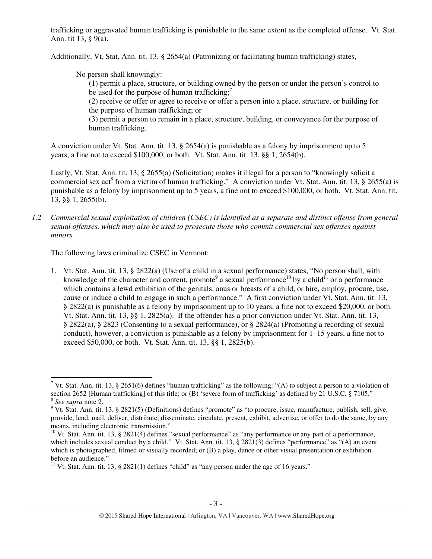trafficking or aggravated human trafficking is punishable to the same extent as the completed offense. Vt. Stat. Ann. tit 13, § 9(a).

Additionally, Vt. Stat. Ann. tit. 13, § 2654(a) (Patronizing or facilitating human trafficking) states,

No person shall knowingly:

(1) permit a place, structure, or building owned by the person or under the person's control to be used for the purpose of human trafficking; $\frac{7}{1}$ 

(2) receive or offer or agree to receive or offer a person into a place, structure, or building for the purpose of human trafficking; or

(3) permit a person to remain in a place, structure, building, or conveyance for the purpose of human trafficking.

A conviction under Vt. Stat. Ann. tit. 13, § 2654(a) is punishable as a felony by imprisonment up to 5 years, a fine not to exceed \$100,000, or both. Vt. Stat. Ann. tit. 13, §§ 1, 2654(b).

Lastly, Vt. Stat. Ann. tit. 13, § 2655(a) (Solicitation) makes it illegal for a person to "knowingly solicit a commercial sex act<sup>8</sup> from a victim of human trafficking." A conviction under Vt. Stat. Ann. tit. 13, § 2655(a) is punishable as a felony by imprisonment up to 5 years, a fine not to exceed \$100,000, or both. Vt. Stat. Ann. tit. 13, §§ 1, 2655(b).

*1.2 Commercial sexual exploitation of children (CSEC) is identified as a separate and distinct offense from general sexual offenses, which may also be used to prosecute those who commit commercial sex offenses against minors.* 

The following laws criminalize CSEC in Vermont:

1. Vt. Stat. Ann. tit. 13, § 2822(a) (Use of a child in a sexual performance) states, "No person shall, with knowledge of the character and content, promote<sup>9</sup> a sexual performance<sup>10</sup> by a child<sup>11</sup> or a performance which contains a lewd exhibition of the genitals, anus or breasts of a child, or hire, employ, procure, use, cause or induce a child to engage in such a performance." A first conviction under Vt. Stat. Ann. tit. 13, § 2822(a) is punishable as a felony by imprisonment up to 10 years, a fine not to exceed \$20,000, or both. Vt. Stat. Ann. tit. 13, §§ 1, 2825(a). If the offender has a prior conviction under Vt. Stat. Ann. tit. 13, § 2822(a), § 2823 (Consenting to a sexual performance), or § 2824(a) (Promoting a recording of sexual conduct), however, a conviction is punishable as a felony by imprisonment for 1–15 years, a fine not to exceed \$50,000, or both. Vt. Stat. Ann. tit. 13, §§ 1, 2825(b).

<sup>&</sup>lt;sup>7</sup> Vt. Stat. Ann. tit. 13, § 2651(6) defines "human trafficking" as the following: "(A) to subject a person to a violation of section 2652 [Human trafficking] of this title; or (B) 'severe form of trafficking' as defined by 21 U.S.C. § 7105."

<sup>8</sup> *See supra* note 2.

 $9$  Vt. Stat. Ann. tit. 13, § 2821(5) (Definitions) defines "promote" as "to procure, issue, manufacture, publish, sell, give, provide, lend, mail, deliver, distribute, disseminate, circulate, present, exhibit, advertise, or offer to do the same, by any means, including electronic transmission."

 $10$  Vt. Stat. Ann. tit. 13, § 2821(4) defines "sexual performance" as "any performance or any part of a performance, which includes sexual conduct by a child." Vt. Stat. Ann. tit. 13, § 2821(3) defines "performance" as "(A) an event which is photographed, filmed or visually recorded; or (B) a play, dance or other visual presentation or exhibition before an audience."

<sup>&</sup>lt;sup>11</sup> Vt. Stat. Ann. tit. 13, § 2821(1) defines "child" as "any person under the age of 16 years."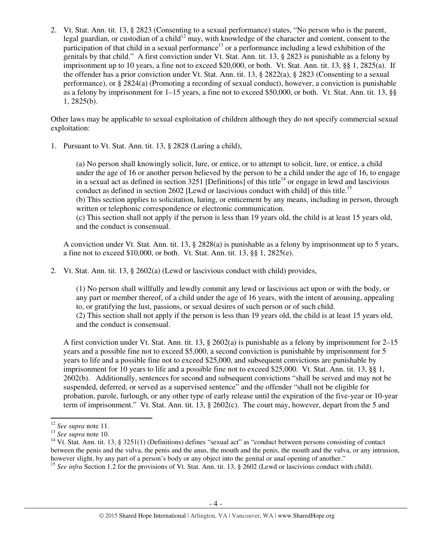2. Vt. Stat. Ann. tit. 13, § 2823 (Consenting to a sexual performance) states, "No person who is the parent, legal guardian, or custodian of a child<sup>12</sup> may, with knowledge of the character and content, consent to the participation of that child in a sexual performance<sup>13</sup> or a performance including a lewd exhibition of the genitals by that child." A first conviction under Vt. Stat. Ann. tit. 13, § 2823 is punishable as a felony by imprisonment up to 10 years, a fine not to exceed \$20,000, or both. Vt. Stat. Ann. tit. 13, §§ 1, 2825(a). If the offender has a prior conviction under Vt. Stat. Ann. tit. 13, § 2822(a), § 2823 (Consenting to a sexual performance), or § 2824(a) (Promoting a recording of sexual conduct), however, a conviction is punishable as a felony by imprisonment for 1–15 years, a fine not to exceed \$50,000, or both. Vt. Stat. Ann. tit. 13, §§ 1, 2825(b).

Other laws may be applicable to sexual exploitation of children although they do not specify commercial sexual exploitation:

1. Pursuant to Vt. Stat. Ann. tit. 13, § 2828 (Luring a child),

(a) No person shall knowingly solicit, lure, or entice, or to attempt to solicit, lure, or entice, a child under the age of 16 or another person believed by the person to be a child under the age of 16, to engage in a sexual act as defined in section  $3251$  [Definitions] of this title<sup>14</sup> or engage in lewd and lascivious conduct as defined in section 2602 [Lewd or lascivious conduct with child] of this title.<sup>15</sup> (b) This section applies to solicitation, luring, or enticement by any means, including in person, through written or telephonic correspondence or electronic communication. (c) This section shall not apply if the person is less than 19 years old, the child is at least 15 years old, and the conduct is consensual.

A conviction under Vt. Stat. Ann. tit. 13, § 2828(a) is punishable as a felony by imprisonment up to 5 years, a fine not to exceed \$10,000, or both. Vt. Stat. Ann. tit. 13, §§ 1, 2825(e).

2. Vt. Stat. Ann. tit. 13, § 2602(a) (Lewd or lascivious conduct with child) provides,

(1) No person shall willfully and lewdly commit any lewd or lascivious act upon or with the body, or any part or member thereof, of a child under the age of 16 years, with the intent of arousing, appealing to, or gratifying the lust, passions, or sexual desires of such person or of such child. (2) This section shall not apply if the person is less than 19 years old, the child is at least 15 years old, and the conduct is consensual.

A first conviction under Vt. Stat. Ann. tit. 13, § 2602(a) is punishable as a felony by imprisonment for 2–15 years and a possible fine not to exceed \$5,000, a second conviction is punishable by imprisonment for 5 years to life and a possible fine not to exceed \$25,000, and subsequent convictions are punishable by imprisonment for 10 years to life and a possible fine not to exceed \$25,000. Vt. Stat. Ann. tit. 13, §§ 1, 2602(b). Additionally, sentences for second and subsequent convictions "shall be served and may not be suspended, deferred, or served as a supervised sentence" and the offender "shall not be eligible for probation, parole, furlough, or any other type of early release until the expiration of the five-year or 10-year term of imprisonment." Vt. Stat. Ann. tit. 13, § 2602(c). The court may, however, depart from the 5 and

 $\overline{a}$ 

<sup>12</sup> *See supra* note 11.

<sup>13</sup> *See supra* note 10.

 $14$  Vt. Stat. Ann. tit. 13, § 3251(1) (Definitions) defines "sexual act" as "conduct between persons consisting of contact between the penis and the vulva, the penis and the anus, the mouth and the penis, the mouth and the vulva, or any intrusion, however slight, by any part of a person's body or any object into the genital or anal opening of another."

<sup>&</sup>lt;sup>15</sup> See infra Section 1.2 for the provisions of Vt. Stat. Ann. tit. 13, § 2602 (Lewd or lascivious conduct with child).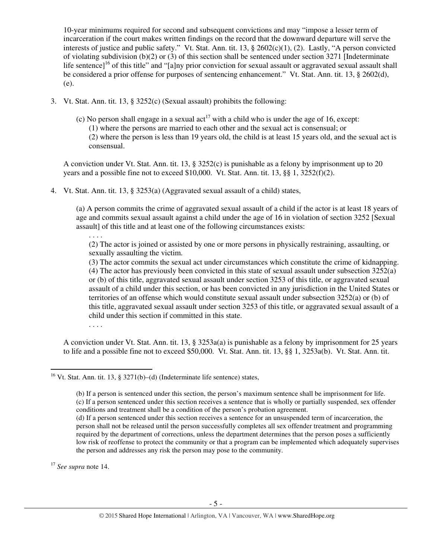10-year minimums required for second and subsequent convictions and may "impose a lesser term of incarceration if the court makes written findings on the record that the downward departure will serve the interests of justice and public safety." Vt. Stat. Ann. tit. 13, § 2602(c)(1), (2). Lastly, "A person convicted of violating subdivision (b)(2) or (3) of this section shall be sentenced under section 3271 [Indeterminate life sentence]<sup>16</sup> of this title" and "[a]ny prior conviction for sexual assault or aggravated sexual assault shall be considered a prior offense for purposes of sentencing enhancement." Vt. Stat. Ann. tit. 13, § 2602(d), (e).

- 3. Vt. Stat. Ann. tit. 13, § 3252(c) (Sexual assault) prohibits the following:
	- (c) No person shall engage in a sexual  $\arctan{17}$  with a child who is under the age of 16, except: (1) where the persons are married to each other and the sexual act is consensual; or (2) where the person is less than 19 years old, the child is at least 15 years old, and the sexual act is consensual.

A conviction under Vt. Stat. Ann. tit. 13, § 3252(c) is punishable as a felony by imprisonment up to 20 years and a possible fine not to exceed  $$10,000$ . Vt. Stat. Ann. tit. 13, §§ 1, 3252(f)(2).

4. Vt. Stat. Ann. tit. 13, § 3253(a) (Aggravated sexual assault of a child) states,

(a) A person commits the crime of aggravated sexual assault of a child if the actor is at least 18 years of age and commits sexual assault against a child under the age of 16 in violation of section 3252 [Sexual assault] of this title and at least one of the following circumstances exists:

(2) The actor is joined or assisted by one or more persons in physically restraining, assaulting, or sexually assaulting the victim.

(3) The actor commits the sexual act under circumstances which constitute the crime of kidnapping. (4) The actor has previously been convicted in this state of sexual assault under subsection 3252(a) or (b) of this title, aggravated sexual assault under section 3253 of this title, or aggravated sexual assault of a child under this section, or has been convicted in any jurisdiction in the United States or territories of an offense which would constitute sexual assault under subsection 3252(a) or (b) of this title, aggravated sexual assault under section 3253 of this title, or aggravated sexual assault of a child under this section if committed in this state.

. . . .

. . . .

A conviction under Vt. Stat. Ann. tit. 13, § 3253a(a) is punishable as a felony by imprisonment for 25 years to life and a possible fine not to exceed \$50,000. Vt. Stat. Ann. tit. 13, §§ 1, 3253a(b). Vt. Stat. Ann. tit.

<sup>17</sup> *See supra* note 14.

 $\overline{a}$ 

<sup>&</sup>lt;sup>16</sup> Vt. Stat. Ann. tit. 13, § 3271(b)–(d) (Indeterminate life sentence) states,

<sup>(</sup>b) If a person is sentenced under this section, the person's maximum sentence shall be imprisonment for life. (c) If a person sentenced under this section receives a sentence that is wholly or partially suspended, sex offender conditions and treatment shall be a condition of the person's probation agreement.

<sup>(</sup>d) If a person sentenced under this section receives a sentence for an unsuspended term of incarceration, the person shall not be released until the person successfully completes all sex offender treatment and programming required by the department of corrections, unless the department determines that the person poses a sufficiently low risk of reoffense to protect the community or that a program can be implemented which adequately supervises the person and addresses any risk the person may pose to the community.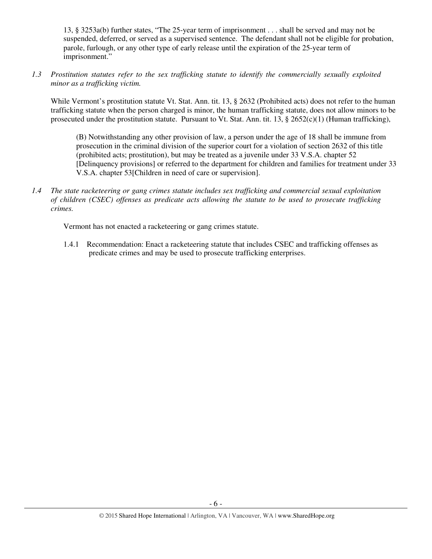13, § 3253a(b) further states, "The 25-year term of imprisonment . . . shall be served and may not be suspended, deferred, or served as a supervised sentence. The defendant shall not be eligible for probation, parole, furlough, or any other type of early release until the expiration of the 25-year term of imprisonment."

*1.3 Prostitution statutes refer to the sex trafficking statute to identify the commercially sexually exploited minor as a trafficking victim.* 

While Vermont's prostitution statute Vt. Stat. Ann. tit. 13, § 2632 (Prohibited acts) does not refer to the human trafficking statute when the person charged is minor, the human trafficking statute, does not allow minors to be prosecuted under the prostitution statute. Pursuant to Vt. Stat. Ann. tit. 13,  $\S 2652(c)(1)$  (Human trafficking),

(B) Notwithstanding any other provision of law, a person under the age of 18 shall be immune from prosecution in the criminal division of the superior court for a violation of section 2632 of this title (prohibited acts; prostitution), but may be treated as a juvenile under 33 V.S.A. chapter 52 [Delinquency provisions] or referred to the department for children and families for treatment under 33 V.S.A. chapter 53[Children in need of care or supervision].

*1.4 The state racketeering or gang crimes statute includes sex trafficking and commercial sexual exploitation of children (CSEC) offenses as predicate acts allowing the statute to be used to prosecute trafficking crimes.* 

Vermont has not enacted a racketeering or gang crimes statute.

1.4.1 Recommendation: Enact a racketeering statute that includes CSEC and trafficking offenses as predicate crimes and may be used to prosecute trafficking enterprises.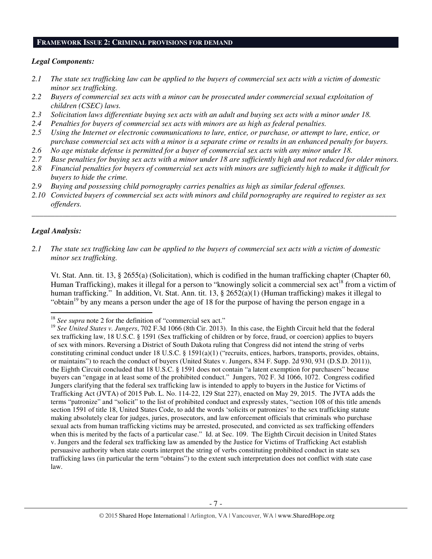#### **FRAMEWORK ISSUE 2: CRIMINAL PROVISIONS FOR DEMAND**

#### *Legal Components:*

- *2.1 The state sex trafficking law can be applied to the buyers of commercial sex acts with a victim of domestic minor sex trafficking.*
- *2.2 Buyers of commercial sex acts with a minor can be prosecuted under commercial sexual exploitation of children (CSEC) laws.*
- *2.3 Solicitation laws differentiate buying sex acts with an adult and buying sex acts with a minor under 18.*
- *2.4 Penalties for buyers of commercial sex acts with minors are as high as federal penalties.*
- *2.5 Using the Internet or electronic communications to lure, entice, or purchase, or attempt to lure, entice, or purchase commercial sex acts with a minor is a separate crime or results in an enhanced penalty for buyers.*
- *2.6 No age mistake defense is permitted for a buyer of commercial sex acts with any minor under 18.*
- *2.7 Base penalties for buying sex acts with a minor under 18 are sufficiently high and not reduced for older minors. 2.8 Financial penalties for buyers of commercial sex acts with minors are sufficiently high to make it difficult for*
- *buyers to hide the crime.*
- *2.9 Buying and possessing child pornography carries penalties as high as similar federal offenses.*
- *2.10 Convicted buyers of commercial sex acts with minors and child pornography are required to register as sex offenders.*

\_\_\_\_\_\_\_\_\_\_\_\_\_\_\_\_\_\_\_\_\_\_\_\_\_\_\_\_\_\_\_\_\_\_\_\_\_\_\_\_\_\_\_\_\_\_\_\_\_\_\_\_\_\_\_\_\_\_\_\_\_\_\_\_\_\_\_\_\_\_\_\_\_\_\_\_\_\_\_\_\_\_\_\_\_\_\_\_\_\_\_\_\_\_

# *Legal Analysis:*

l

*2.1 The state sex trafficking law can be applied to the buyers of commercial sex acts with a victim of domestic minor sex trafficking.* 

Vt. Stat. Ann. tit. 13, § 2655(a) (Solicitation), which is codified in the human trafficking chapter (Chapter 60, Human Trafficking), makes it illegal for a person to "knowingly solicit a commercial sex act<sup>18</sup> from a victim of human trafficking." In addition, Vt. Stat. Ann. tit. 13, § 2652(a)(1) (Human trafficking) makes it illegal to "obtain<sup>19</sup> by any means a person under the age of 18 for the purpose of having the person engage in a

<sup>&</sup>lt;sup>18</sup> See supra note 2 for the definition of "commercial sex act."

<sup>19</sup> *See United States v. Jungers*, 702 F.3d 1066 (8th Cir. 2013). In this case, the Eighth Circuit held that the federal sex trafficking law, 18 U.S.C. § 1591 (Sex trafficking of children or by force, fraud, or coercion) applies to buyers of sex with minors. Reversing a District of South Dakota ruling that Congress did not intend the string of verbs constituting criminal conduct under 18 U.S.C. § 1591(a)(1) ("recruits, entices, harbors, transports, provides, obtains, or maintains") to reach the conduct of buyers (United States v. Jungers, 834 F. Supp. 2d 930, 931 (D.S.D. 2011)), the Eighth Circuit concluded that 18 U.S.C. § 1591 does not contain "a latent exemption for purchasers" because buyers can "engage in at least some of the prohibited conduct." Jungers, 702 F. 3d 1066, 1072. Congress codified Jungers clarifying that the federal sex trafficking law is intended to apply to buyers in the Justice for Victims of Trafficking Act (JVTA) of 2015 Pub. L. No. 114-22, 129 Stat 227), enacted on May 29, 2015. The JVTA adds the terms "patronize" and "solicit" to the list of prohibited conduct and expressly states, "section 108 of this title amends section 1591 of title 18, United States Code, to add the words 'solicits or patronizes' to the sex trafficking statute making absolutely clear for judges, juries, prosecutors, and law enforcement officials that criminals who purchase sexual acts from human trafficking victims may be arrested, prosecuted, and convicted as sex trafficking offenders when this is merited by the facts of a particular case." Id. at Sec. 109. The Eighth Circuit decision in United States v. Jungers and the federal sex trafficking law as amended by the Justice for Victims of Trafficking Act establish persuasive authority when state courts interpret the string of verbs constituting prohibited conduct in state sex trafficking laws (in particular the term "obtains") to the extent such interpretation does not conflict with state case law.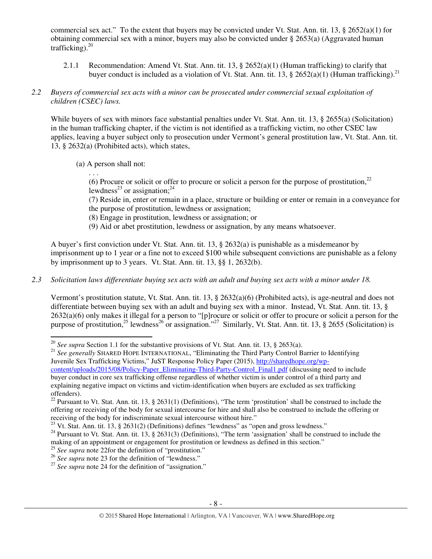commercial sex act." To the extent that buyers may be convicted under Vt. Stat. Ann. tit. 13,  $\S$  2652(a)(1) for obtaining commercial sex with a minor, buyers may also be convicted under  $\S$  2653(a) (Aggravated human trafficking). $^{20}$ 

2.1.1 Recommendation: Amend Vt. Stat. Ann. tit. 13, § 2652(a)(1) (Human trafficking) to clarify that buyer conduct is included as a violation of Vt. Stat. Ann. tit. 13, § 2652(a)(1) (Human trafficking).<sup>21</sup>

# *2.2 Buyers of commercial sex acts with a minor can be prosecuted under commercial sexual exploitation of children (CSEC) laws.*

While buyers of sex with minors face substantial penalties under Vt. Stat. Ann. tit. 13, § 2655(a) (Solicitation) in the human trafficking chapter, if the victim is not identified as a trafficking victim, no other CSEC law applies, leaving a buyer subject only to prosecution under Vermont's general prostitution law, Vt. Stat. Ann. tit. 13, § 2632(a) (Prohibited acts), which states,

(a) A person shall not:

. . .

 $\overline{a}$ 

(6) Procure or solicit or offer to procure or solicit a person for the purpose of prostitution,<sup>22</sup> lewdness<sup>23</sup> or assignation;<sup>24</sup>

(7) Reside in, enter or remain in a place, structure or building or enter or remain in a conveyance for the purpose of prostitution, lewdness or assignation;

- (8) Engage in prostitution, lewdness or assignation; or
- (9) Aid or abet prostitution, lewdness or assignation, by any means whatsoever.

A buyer's first conviction under Vt. Stat. Ann. tit. 13, § 2632(a) is punishable as a misdemeanor by imprisonment up to 1 year or a fine not to exceed \$100 while subsequent convictions are punishable as a felony by imprisonment up to 3 years. Vt. Stat. Ann. tit. 13, §§ 1, 2632(b).

*2.3 Solicitation laws differentiate buying sex acts with an adult and buying sex acts with a minor under 18.* 

Vermont's prostitution statute, Vt. Stat. Ann. tit. 13, § 2632(a)(6) (Prohibited acts), is age-neutral and does not differentiate between buying sex with an adult and buying sex with a minor. Instead, Vt. Stat. Ann. tit. 13, § 2632(a)(6) only makes it illegal for a person to "[p]rocure or solicit or offer to procure or solicit a person for the purpose of prostitution,<sup>25</sup> lewdness<sup>26</sup> or assignation."<sup>27</sup> Similarly, Vt. Stat. Ann. tit. 13, § 2655 (Solicitation) is

<sup>21</sup> See generally SHARED HOPE INTERNATIONAL, "Eliminating the Third Party Control Barrier to Identifying Juvenile Sex Trafficking Victims," JuST Response Policy Paper (2015), http://sharedhope.org/wpcontent/uploads/2015/08/Policy-Paper\_Eliminating-Third-Party-Control\_Final1.pdf (discussing need to include buyer conduct in core sex trafficking offense regardless of whether victim is under control of a third party and explaining negative impact on victims and victim-identification when buyers are excluded as sex trafficking offenders).

<sup>20</sup> *See supra* Section 1.1 for the substantive provisions of Vt. Stat. Ann. tit. 13, § 2653(a).

<sup>&</sup>lt;sup>22</sup> Pursuant to Vt. Stat. Ann. tit. 13, § 2631(1) (Definitions), "The term 'prostitution' shall be construed to include the offering or receiving of the body for sexual intercourse for hire and shall also be construed to include the offering or receiving of the body for indiscriminate sexual intercourse without hire."

 $^{23}$  Vt. Stat. Ann. tit. 13, § 2631(2) (Definitions) defines "lewdness" as "open and gross lewdness."

 $^{24}$  Pursuant to Vt. Stat. Ann. tit. 13, § 2631(3) (Definitions), "The term 'assignation' shall be construed to include the making of an appointment or engagement for prostitution or lewdness as defined in this section."

<sup>&</sup>lt;sup>25</sup> See supra note 22for the definition of "prostitution."

<sup>&</sup>lt;sup>26</sup> See supra note 23 for the definition of "lewdness."

<sup>&</sup>lt;sup>27</sup> See supra note 24 for the definition of "assignation."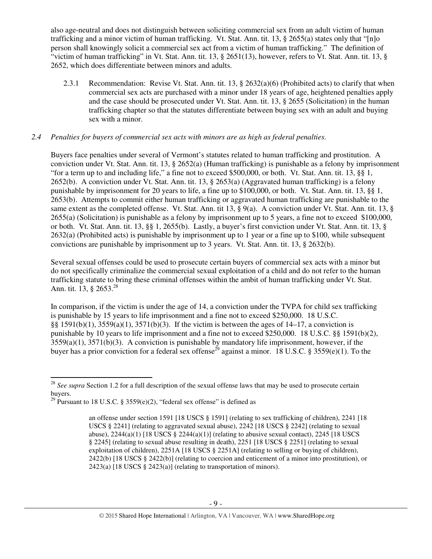also age-neutral and does not distinguish between soliciting commercial sex from an adult victim of human trafficking and a minor victim of human trafficking. Vt. Stat. Ann. tit. 13, § 2655(a) states only that "[n]o person shall knowingly solicit a commercial sex act from a victim of human trafficking." The definition of "victim of human trafficking" in Vt. Stat. Ann. tit. 13, § 2651(13), however, refers to Vt. Stat. Ann. tit. 13, § 2652, which does differentiate between minors and adults.

2.3.1 Recommendation: Revise Vt. Stat. Ann. tit. 13, § 2632(a)(6) (Prohibited acts) to clarify that when commercial sex acts are purchased with a minor under 18 years of age, heightened penalties apply and the case should be prosecuted under Vt. Stat. Ann. tit. 13, § 2655 (Solicitation) in the human trafficking chapter so that the statutes differentiate between buying sex with an adult and buying sex with a minor.

# *2.4 Penalties for buyers of commercial sex acts with minors are as high as federal penalties.*

Buyers face penalties under several of Vermont's statutes related to human trafficking and prostitution. A conviction under Vt. Stat. Ann. tit. 13, § 2652(a) (Human trafficking) is punishable as a felony by imprisonment "for a term up to and including life," a fine not to exceed \$500,000, or both. Vt. Stat. Ann. tit. 13, §§ 1, 2652(b). A conviction under Vt. Stat. Ann. tit. 13, § 2653(a) (Aggravated human trafficking) is a felony punishable by imprisonment for 20 years to life, a fine up to \$100,000, or both. Vt. Stat. Ann. tit. 13, §§ 1, 2653(b). Attempts to commit either human trafficking or aggravated human trafficking are punishable to the same extent as the completed offense. Vt. Stat. Ann. tit 13, § 9(a). A conviction under Vt. Stat. Ann. tit. 13, § 2655(a) (Solicitation) is punishable as a felony by imprisonment up to 5 years, a fine not to exceed \$100,000, or both. Vt. Stat. Ann. tit. 13, §§ 1, 2655(b). Lastly, a buyer's first conviction under Vt. Stat. Ann. tit. 13, § 2632(a) (Prohibited acts) is punishable by imprisonment up to 1 year or a fine up to \$100, while subsequent convictions are punishable by imprisonment up to 3 years. Vt. Stat. Ann. tit. 13, § 2632(b).

Several sexual offenses could be used to prosecute certain buyers of commercial sex acts with a minor but do not specifically criminalize the commercial sexual exploitation of a child and do not refer to the human trafficking statute to bring these criminal offenses within the ambit of human trafficking under Vt. Stat. Ann. tit. 13, 8 2653.<sup>28</sup>

In comparison, if the victim is under the age of 14, a conviction under the TVPA for child sex trafficking is punishable by 15 years to life imprisonment and a fine not to exceed \$250,000. 18 U.S.C. §§ 1591(b)(1), 3559(a)(1), 3571(b)(3). If the victim is between the ages of 14–17, a conviction is punishable by 10 years to life imprisonment and a fine not to exceed \$250,000. 18 U.S.C. §§ 1591(b)(2),  $3559(a)(1)$ ,  $3571(b)(3)$ . A conviction is punishable by mandatory life imprisonment, however, if the buyer has a prior conviction for a federal sex offense<sup>29</sup> against a minor. 18 U.S.C. § 3559(e)(1). To the

 $\overline{a}$ 

<sup>&</sup>lt;sup>28</sup> See supra Section 1.2 for a full description of the sexual offense laws that may be used to prosecute certain buyers.

<sup>&</sup>lt;sup>29</sup> Pursuant to 18 U.S.C. § 3559(e)(2), "federal sex offense" is defined as

an offense under section 1591 [18 USCS § 1591] (relating to sex trafficking of children), 2241 [18 USCS § 2241] (relating to aggravated sexual abuse), 2242 [18 USCS § 2242] (relating to sexual abuse),  $2244(a)(1)$  [18 USCS §  $2244(a)(1)$ ] (relating to abusive sexual contact),  $2245$  [18 USCS § 2245] (relating to sexual abuse resulting in death), 2251 [18 USCS § 2251] (relating to sexual exploitation of children), 2251A [18 USCS § 2251A] (relating to selling or buying of children), 2422(b) [18 USCS § 2422(b)] (relating to coercion and enticement of a minor into prostitution), or  $2423(a)$  [18 USCS § 2423(a)] (relating to transportation of minors).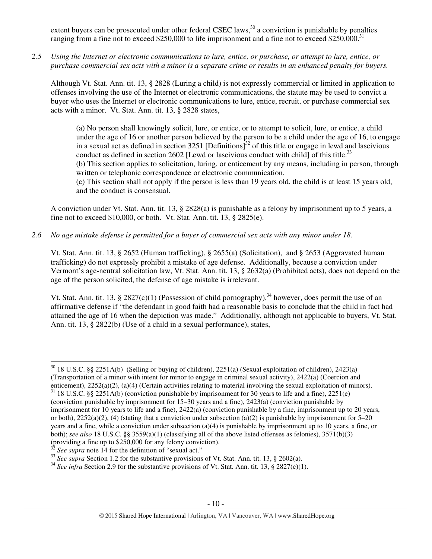extent buyers can be prosecuted under other federal CSEC laws,  $30^{\circ}$  a conviction is punishable by penalties ranging from a fine not to exceed \$250,000 to life imprisonment and a fine not to exceed \$250,000.<sup>31</sup>

*2.5 Using the Internet or electronic communications to lure, entice, or purchase, or attempt to lure, entice, or purchase commercial sex acts with a minor is a separate crime or results in an enhanced penalty for buyers.* 

Although Vt. Stat. Ann. tit. 13, § 2828 (Luring a child) is not expressly commercial or limited in application to offenses involving the use of the Internet or electronic communications, the statute may be used to convict a buyer who uses the Internet or electronic communications to lure, entice, recruit, or purchase commercial sex acts with a minor. Vt. Stat. Ann. tit. 13, § 2828 states,

(a) No person shall knowingly solicit, lure, or entice, or to attempt to solicit, lure, or entice, a child under the age of 16 or another person believed by the person to be a child under the age of 16, to engage in a sexual act as defined in section 3251 [Definitions]<sup>32</sup> of this title or engage in lewd and lascivious conduct as defined in section 2602 [Lewd or lascivious conduct with child] of this title.<sup>33</sup> (b) This section applies to solicitation, luring, or enticement by any means, including in person, through written or telephonic correspondence or electronic communication.

(c) This section shall not apply if the person is less than 19 years old, the child is at least 15 years old, and the conduct is consensual.

A conviction under Vt. Stat. Ann. tit. 13, § 2828(a) is punishable as a felony by imprisonment up to 5 years, a fine not to exceed \$10,000, or both. Vt. Stat. Ann. tit. 13, § 2825(e).

*2.6 No age mistake defense is permitted for a buyer of commercial sex acts with any minor under 18.* 

Vt. Stat. Ann. tit. 13, § 2652 (Human trafficking), § 2655(a) (Solicitation), and § 2653 (Aggravated human trafficking) do not expressly prohibit a mistake of age defense. Additionally, because a conviction under Vermont's age-neutral solicitation law, Vt. Stat. Ann. tit. 13, § 2632(a) (Prohibited acts), does not depend on the age of the person solicited, the defense of age mistake is irrelevant.

Vt. Stat. Ann. tit. 13, § 2827(c)(1) (Possession of child pornography),<sup>34</sup> however, does permit the use of an affirmative defense if "the defendant in good faith had a reasonable basis to conclude that the child in fact had attained the age of 16 when the depiction was made." Additionally, although not applicable to buyers, Vt. Stat. Ann. tit. 13, § 2822(b) (Use of a child in a sexual performance), states,

 $30\,$  18 U.S.C. §§ 2251A(b) (Selling or buying of children), 2251(a) (Sexual exploitation of children), 2423(a) (Transportation of a minor with intent for minor to engage in criminal sexual activity), 2422(a) (Coercion and

enticement), 2252(a)(2), (a)(4) (Certain activities relating to material involving the sexual exploitation of minors). <sup>31</sup> 18 U.S.C. §§ 2251A(b) (conviction punishable by imprisonment for 30 years to life and a fine), 2251(e) (conviction punishable by imprisonment for 15–30 years and a fine), 2423(a) (conviction punishable by imprisonment for 10 years to life and a fine), 2422(a) (conviction punishable by a fine, imprisonment up to 20 years, or both),  $2252(a)(2)$ , (4) (stating that a conviction under subsection (a)(2) is punishable by imprisonment for 5–20 years and a fine, while a conviction under subsection (a)(4) is punishable by imprisonment up to 10 years, a fine, or both); *see also* 18 U.S.C. §§ 3559(a)(1) (classifying all of the above listed offenses as felonies), 3571(b)(3) (providing a fine up to \$250,000 for any felony conviction).

See supra note 14 for the definition of "sexual act."

<sup>&</sup>lt;sup>33</sup> See supra Section 1.2 for the substantive provisions of Vt. Stat. Ann. tit. 13, § 2602(a).

<sup>&</sup>lt;sup>34</sup> See infra Section 2.9 for the substantive provisions of Vt. Stat. Ann. tit. 13, § 2827(c)(1).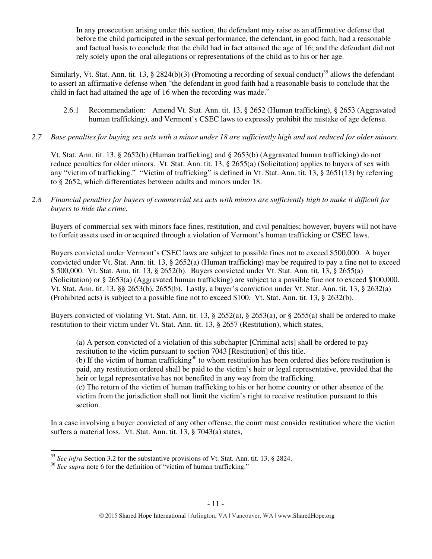In any prosecution arising under this section, the defendant may raise as an affirmative defense that before the child participated in the sexual performance, the defendant, in good faith, had a reasonable and factual basis to conclude that the child had in fact attained the age of 16; and the defendant did not rely solely upon the oral allegations or representations of the child as to his or her age.

Similarly, Vt. Stat. Ann. tit. 13, § 2824(b)(3) (Promoting a recording of sexual conduct)<sup>35</sup> allows the defendant to assert an affirmative defense when "the defendant in good faith had a reasonable basis to conclude that the child in fact had attained the age of 16 when the recording was made."

- 2.6.1 Recommendation: Amend Vt. Stat. Ann. tit. 13, § 2652 (Human trafficking), § 2653 (Aggravated human trafficking), and Vermont's CSEC laws to expressly prohibit the mistake of age defense.
- *2.7 Base penalties for buying sex acts with a minor under 18 are sufficiently high and not reduced for older minors.*

Vt. Stat. Ann. tit. 13, § 2652(b) (Human trafficking) and § 2653(b) (Aggravated human trafficking) do not reduce penalties for older minors. Vt. Stat. Ann. tit. 13, § 2655(a) (Solicitation) applies to buyers of sex with any "victim of trafficking." "Victim of trafficking" is defined in Vt. Stat. Ann. tit. 13, § 2651(13) by referring to § 2652, which differentiates between adults and minors under 18.

*2.8 Financial penalties for buyers of commercial sex acts with minors are sufficiently high to make it difficult for buyers to hide the crime.* 

Buyers of commercial sex with minors face fines, restitution, and civil penalties; however, buyers will not have to forfeit assets used in or acquired through a violation of Vermont's human trafficking or CSEC laws.

Buyers convicted under Vermont's CSEC laws are subject to possible fines not to exceed \$500,000. A buyer convicted under Vt. Stat. Ann. tit. 13, § 2652(a) (Human trafficking) may be required to pay a fine not to exceed \$ 500,000. Vt. Stat. Ann. tit. 13, § 2652(b). Buyers convicted under Vt. Stat. Ann. tit. 13, § 2655(a) (Solicitation) or § 2653(a) (Aggravated human trafficking) are subject to a possible fine not to exceed \$100,000. Vt. Stat. Ann. tit. 13, §§ 2653(b), 2655(b). Lastly, a buyer's conviction under Vt. Stat. Ann. tit. 13, § 2632(a) (Prohibited acts) is subject to a possible fine not to exceed \$100. Vt. Stat. Ann. tit. 13, § 2632(b).

Buyers convicted of violating Vt. Stat. Ann. tit. 13, § 2652(a), § 2653(a), or § 2655(a) shall be ordered to make restitution to their victim under Vt. Stat. Ann. tit. 13, § 2657 (Restitution), which states,

(a) A person convicted of a violation of this subchapter [Criminal acts] shall be ordered to pay restitution to the victim pursuant to section 7043 [Restitution] of this title.

(b) If the victim of human trafficking<sup>36</sup> to whom restitution has been ordered dies before restitution is paid, any restitution ordered shall be paid to the victim's heir or legal representative, provided that the heir or legal representative has not benefited in any way from the trafficking.

(c) The return of the victim of human trafficking to his or her home country or other absence of the victim from the jurisdiction shall not limit the victim's right to receive restitution pursuant to this section.

In a case involving a buyer convicted of any other offense, the court must consider restitution where the victim suffers a material loss. Vt. Stat. Ann. tit. 13, § 7043(a) states,

<sup>35</sup> *See infra* Section 3.2 for the substantive provisions of Vt. Stat. Ann. tit. 13, § 2824.

<sup>&</sup>lt;sup>36</sup> See supra note 6 for the definition of "victim of human trafficking."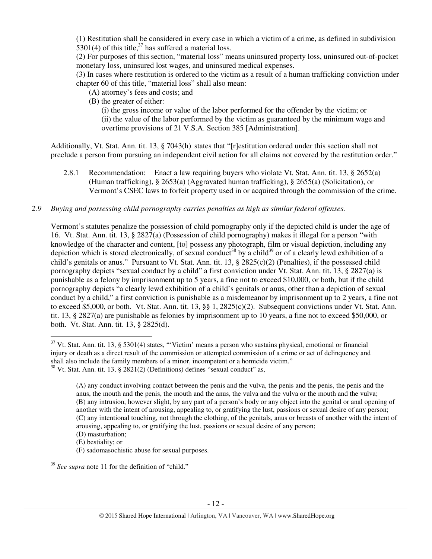(1) Restitution shall be considered in every case in which a victim of a crime, as defined in subdivision 5301(4) of this title,  $37$  has suffered a material loss.

(2) For purposes of this section, "material loss" means uninsured property loss, uninsured out-of-pocket monetary loss, uninsured lost wages, and uninsured medical expenses.

(3) In cases where restitution is ordered to the victim as a result of a human trafficking conviction under chapter 60 of this title, "material loss" shall also mean:

- (A) attorney's fees and costs; and
- (B) the greater of either:

(i) the gross income or value of the labor performed for the offender by the victim; or (ii) the value of the labor performed by the victim as guaranteed by the minimum wage and overtime provisions of 21 V.S.A. Section 385 [Administration].

Additionally, Vt. Stat. Ann. tit. 13, § 7043(h) states that "[r]estitution ordered under this section shall not preclude a person from pursuing an independent civil action for all claims not covered by the restitution order."

2.8.1 Recommendation: Enact a law requiring buyers who violate Vt. Stat. Ann. tit. 13, § 2652(a) (Human trafficking), § 2653(a) (Aggravated human trafficking), § 2655(a) (Solicitation), or Vermont's CSEC laws to forfeit property used in or acquired through the commission of the crime.

# *2.9 Buying and possessing child pornography carries penalties as high as similar federal offenses.*

Vermont's statutes penalize the possession of child pornography only if the depicted child is under the age of 16. Vt. Stat. Ann. tit. 13, § 2827(a) (Possession of child pornography) makes it illegal for a person "with knowledge of the character and content, [to] possess any photograph, film or visual depiction, including any depiction which is stored electronically, of sexual conduct<sup>38</sup> by a child<sup>39</sup> or of a clearly lewd exhibition of a child's genitals or anus." Pursuant to Vt. Stat. Ann. tit. 13, § 2825(c)(2) (Penalties), if the possessed child pornography depicts "sexual conduct by a child" a first conviction under Vt. Stat. Ann. tit. 13, § 2827(a) is punishable as a felony by imprisonment up to 5 years, a fine not to exceed \$10,000, or both, but if the child pornography depicts "a clearly lewd exhibition of a child's genitals or anus, other than a depiction of sexual conduct by a child," a first conviction is punishable as a misdemeanor by imprisonment up to 2 years, a fine not to exceed \$5,000, or both. Vt. Stat. Ann. tit. 13, §§ 1, 2825(c)(2). Subsequent convictions under Vt. Stat. Ann. tit. 13, § 2827(a) are punishable as felonies by imprisonment up to 10 years, a fine not to exceed \$50,000, or both. Vt. Stat. Ann. tit. 13, § 2825(d).

 $\overline{a}$ 

(F) sadomasochistic abuse for sexual purposes.

<sup>39</sup> *See supra* note 11 for the definition of "child."

 $37$  Vt. Stat. Ann. tit. 13, § 5301(4) states, "'Victim' means a person who sustains physical, emotional or financial injury or death as a direct result of the commission or attempted commission of a crime or act of delinquency and shall also include the family members of a minor, incompetent or a homicide victim."  $38$  Vt. Stat. Ann. tit. 13, § 2821(2) (Definitions) defines "sexual conduct" as,

<sup>(</sup>A) any conduct involving contact between the penis and the vulva, the penis and the penis, the penis and the anus, the mouth and the penis, the mouth and the anus, the vulva and the vulva or the mouth and the vulva; (B) any intrusion, however slight, by any part of a person's body or any object into the genital or anal opening of another with the intent of arousing, appealing to, or gratifying the lust, passions or sexual desire of any person; (C) any intentional touching, not through the clothing, of the genitals, anus or breasts of another with the intent of arousing, appealing to, or gratifying the lust, passions or sexual desire of any person; (D) masturbation;

<sup>(</sup>E) bestiality; or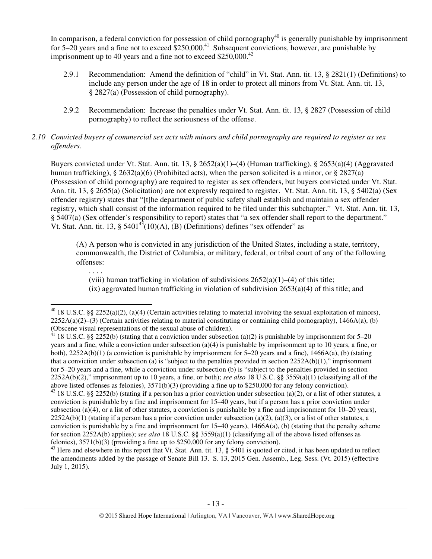In comparison, a federal conviction for possession of child pornography $40$  is generally punishable by imprisonment for 5–20 years and a fine not to exceed  $$250,000.<sup>41</sup>$  Subsequent convictions, however, are punishable by imprisonment up to 40 years and a fine not to exceed  $$250,000.<sup>42</sup>$ 

- 2.9.1 Recommendation: Amend the definition of "child" in Vt. Stat. Ann. tit. 13, § 2821(1) (Definitions) to include any person under the age of 18 in order to protect all minors from Vt. Stat. Ann. tit. 13, § 2827(a) (Possession of child pornography).
- 2.9.2 Recommendation: Increase the penalties under Vt. Stat. Ann. tit. 13, § 2827 (Possession of child pornography) to reflect the seriousness of the offense.

# *2.10 Convicted buyers of commercial sex acts with minors and child pornography are required to register as sex offenders.*

Buyers convicted under Vt. Stat. Ann. tit. 13, § 2652(a)(1)–(4) (Human trafficking), § 2653(a)(4) (Aggravated human trafficking), § 2632(a)(6) (Prohibited acts), when the person solicited is a minor, or § 2827(a) (Possession of child pornography) are required to register as sex offenders, but buyers convicted under Vt. Stat. Ann. tit. 13, § 2655(a) (Solicitation) are not expressly required to register. Vt. Stat. Ann. tit. 13, § 5402(a) (Sex offender registry) states that "[t]he department of public safety shall establish and maintain a sex offender registry, which shall consist of the information required to be filed under this subchapter." Vt. Stat. Ann. tit. 13, § 5407(a) (Sex offender's responsibility to report) states that "a sex offender shall report to the department." Vt. Stat. Ann. tit. 13,  $\S$  5401<sup>43</sup>(10)(A), (B) (Definitions) defines "sex offender" as

(A) A person who is convicted in any jurisdiction of the United States, including a state, territory, commonwealth, the District of Columbia, or military, federal, or tribal court of any of the following offenses:

(viii) human trafficking in violation of subdivisions  $2652(a)(1)–(4)$  of this title;  $f(x)$  aggravated human trafficking in violation of subdivision 2653(a)(4) of this title; and

. . . .

 $\overline{a}$ 

<sup>41</sup> 18 U.S.C. §§ 2252(b) (stating that a conviction under subsection (a)(2) is punishable by imprisonment for 5–20 years and a fine, while a conviction under subsection (a)(4) is punishable by imprisonment up to 10 years, a fine, or both), 2252A(b)(1) (a conviction is punishable by imprisonment for 5–20 years and a fine), 1466A(a), (b) (stating that a conviction under subsection (a) is "subject to the penalties provided in section  $2252A(b)(1)$ ," imprisonment for 5–20 years and a fine, while a conviction under subsection (b) is "subject to the penalties provided in section 2252A(b)(2)," imprisonment up to 10 years, a fine, or both); *see also* 18 U.S.C. §§ 3559(a)(1) (classifying all of the above listed offenses as felonies), 3571(b)(3) (providing a fine up to \$250,000 for any felony conviction). <sup>42</sup> 18 U.S.C. §§ 2252(b) (stating if a person has a prior conviction under subsection (a)(2), or a list of other statutes, a conviction is punishable by a fine and imprisonment for 15–40 years, but if a person has a prior conviction under subsection (a)(4), or a list of other statutes, a conviction is punishable by a fine and imprisonment for  $10-20$  years),  $2252A(b)(1)$  (stating if a person has a prior conviction under subsection (a)(2), (a)(3), or a list of other statutes, a conviction is punishable by a fine and imprisonment for  $15-40$  years),  $1466A(a)$ , (b) (stating that the penalty scheme for section 2252A(b) applies); *see also* 18 U.S.C. §§ 3559(a)(1) (classifying all of the above listed offenses as felonies), 3571(b)(3) (providing a fine up to \$250,000 for any felony conviction).

 $40$  18 U.S.C. §§ 2252(a)(2), (a)(4) (Certain activities relating to material involving the sexual exploitation of minors),  $2252A(a)(2)$ –(3) (Certain activities relating to material constituting or containing child pornography), 1466A(a), (b) (Obscene visual representations of the sexual abuse of children).

 $43$  Here and elsewhere in this report that Vt. Stat. Ann. tit. 13, § 5401 is quoted or cited, it has been updated to reflect the amendments added by the passage of Senate Bill 13. S. 13, 2015 Gen. Assemb., Leg. Sess. (Vt. 2015) (effective July 1, 2015).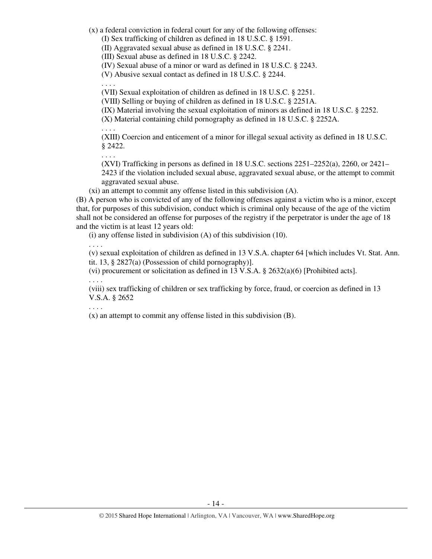(x) a federal conviction in federal court for any of the following offenses:

(I) Sex trafficking of children as defined in 18 U.S.C. § 1591.

(II) Aggravated sexual abuse as defined in 18 U.S.C. § 2241.

(III) Sexual abuse as defined in 18 U.S.C. § 2242.

(IV) Sexual abuse of a minor or ward as defined in 18 U.S.C. § 2243.

(V) Abusive sexual contact as defined in 18 U.S.C. § 2244.

(VII) Sexual exploitation of children as defined in 18 U.S.C. § 2251.

(VIII) Selling or buying of children as defined in 18 U.S.C. § 2251A.

(IX) Material involving the sexual exploitation of minors as defined in 18 U.S.C. § 2252.

(X) Material containing child pornography as defined in 18 U.S.C. § 2252A.

. . . .

. . . .

. . . .

(XIII) Coercion and enticement of a minor for illegal sexual activity as defined in 18 U.S.C. § 2422.

(XVI) Trafficking in persons as defined in 18 U.S.C. sections  $2251-2252(a)$ ,  $2260$ , or  $2421-$ 2423 if the violation included sexual abuse, aggravated sexual abuse, or the attempt to commit aggravated sexual abuse.

(xi) an attempt to commit any offense listed in this subdivision (A).

(B) A person who is convicted of any of the following offenses against a victim who is a minor, except that, for purposes of this subdivision, conduct which is criminal only because of the age of the victim shall not be considered an offense for purposes of the registry if the perpetrator is under the age of 18 and the victim is at least 12 years old:

(i) any offense listed in subdivision (A) of this subdivision (10).

. . . .

(v) sexual exploitation of children as defined in 13 V.S.A. chapter 64 [which includes Vt. Stat. Ann. tit. 13, § 2827(a) (Possession of child pornography)].

(vi) procurement or solicitation as defined in 13 V.S.A.  $\S$  2632(a)(6) [Prohibited acts]. . . . .

(viii) sex trafficking of children or sex trafficking by force, fraud, or coercion as defined in 13 V.S.A. § 2652

. . . .

(x) an attempt to commit any offense listed in this subdivision (B).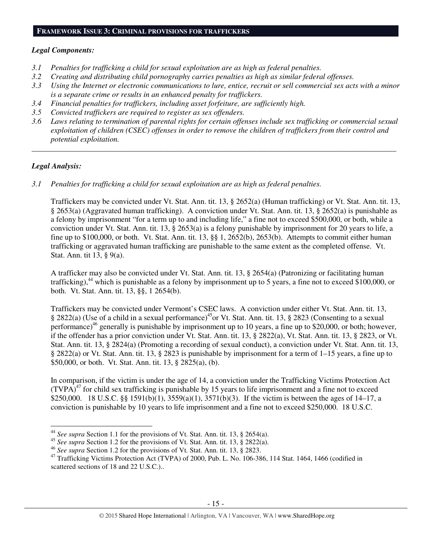# **FRAMEWORK ISSUE 3: CRIMINAL PROVISIONS FOR TRAFFICKERS**

#### *Legal Components:*

- *3.1 Penalties for trafficking a child for sexual exploitation are as high as federal penalties.*
- *3.2 Creating and distributing child pornography carries penalties as high as similar federal offenses.*
- *3.3 Using the Internet or electronic communications to lure, entice, recruit or sell commercial sex acts with a minor is a separate crime or results in an enhanced penalty for traffickers.*
- *3.4 Financial penalties for traffickers, including asset forfeiture, are sufficiently high.*
- *3.5 Convicted traffickers are required to register as sex offenders.*
- *3.6 Laws relating to termination of parental rights for certain offenses include sex trafficking or commercial sexual exploitation of children (CSEC) offenses in order to remove the children of traffickers from their control and potential exploitation.*

*\_\_\_\_\_\_\_\_\_\_\_\_\_\_\_\_\_\_\_\_\_\_\_\_\_\_\_\_\_\_\_\_\_\_\_\_\_\_\_\_\_\_\_\_\_\_\_\_\_\_\_\_\_\_\_\_\_\_\_\_\_\_\_\_\_\_\_\_\_\_\_\_\_\_\_\_\_\_\_\_\_\_\_\_\_\_\_\_\_\_\_\_\_\_* 

# *Legal Analysis:*

l

*3.1 Penalties for trafficking a child for sexual exploitation are as high as federal penalties.* 

Traffickers may be convicted under Vt. Stat. Ann. tit. 13, § 2652(a) (Human trafficking) or Vt. Stat. Ann. tit. 13, § 2653(a) (Aggravated human trafficking). A conviction under Vt. Stat. Ann. tit. 13, § 2652(a) is punishable as a felony by imprisonment "for a term up to and including life," a fine not to exceed \$500,000, or both, while a conviction under Vt. Stat. Ann. tit. 13, § 2653(a) is a felony punishable by imprisonment for 20 years to life, a fine up to \$100,000, or both. Vt. Stat. Ann. tit. 13, §§ 1, 2652(b), 2653(b). Attempts to commit either human trafficking or aggravated human trafficking are punishable to the same extent as the completed offense. Vt. Stat. Ann. tit 13, § 9(a).

A trafficker may also be convicted under Vt. Stat. Ann. tit. 13, § 2654(a) (Patronizing or facilitating human trafficking),<sup>44</sup> which is punishable as a felony by imprisonment up to 5 years, a fine not to exceed \$100,000, or both. Vt. Stat. Ann. tit. 13, §§, 1 2654(b).

Traffickers may be convicted under Vermont's CSEC laws. A conviction under either Vt. Stat. Ann. tit. 13, § 2822(a) (Use of a child in a sexual performance)<sup>45</sup>or Vt. Stat. Ann. tit. 13, § 2823 (Consenting to a sexual performance)<sup>46</sup> generally is punishable by imprisonment up to 10 years, a fine up to \$20,000, or both; however, if the offender has a prior conviction under Vt. Stat. Ann. tit. 13, § 2822(a), Vt. Stat. Ann. tit. 13, § 2823, or Vt. Stat. Ann. tit. 13, § 2824(a) (Promoting a recording of sexual conduct), a conviction under Vt. Stat. Ann. tit. 13, § 2822(a) or Vt. Stat. Ann. tit. 13, § 2823 is punishable by imprisonment for a term of 1–15 years, a fine up to \$50,000, or both. Vt. Stat. Ann. tit. 13, § 2825(a), (b).

In comparison, if the victim is under the age of 14, a conviction under the Trafficking Victims Protection Act  $(TVPA)^{47}$  for child sex trafficking is punishable by 15 years to life imprisonment and a fine not to exceed \$250,000. 18 U.S.C. §§ 1591(b)(1), 3559(a)(1), 3571(b)(3). If the victim is between the ages of 14–17, a conviction is punishable by 10 years to life imprisonment and a fine not to exceed \$250,000. 18 U.S.C.

<sup>44</sup> *See supra* Section 1.1 for the provisions of Vt. Stat. Ann. tit. 13, § 2654(a).

<sup>45</sup> *See supra* Section 1.2 for the provisions of Vt. Stat. Ann. tit. 13, § 2822(a).

<sup>46</sup> *See supra* Section 1.2 for the provisions of Vt. Stat. Ann. tit. 13, § 2823.

<sup>&</sup>lt;sup>47</sup> Trafficking Victims Protection Act (TVPA) of 2000, Pub. L. No. 106-386, 114 Stat. 1464, 1466 (codified in scattered sections of 18 and 22 U.S.C.)..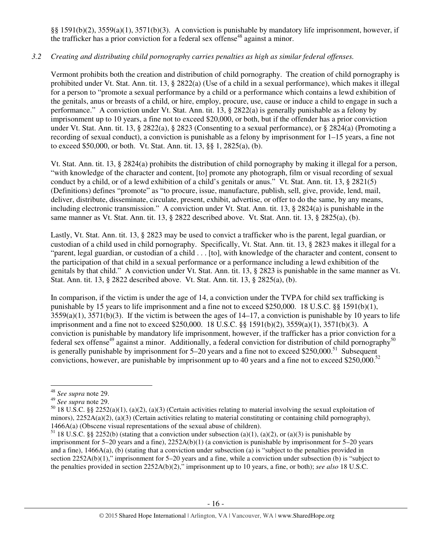§§ 1591(b)(2), 3559(a)(1), 3571(b)(3). A conviction is punishable by mandatory life imprisonment, however, if the trafficker has a prior conviction for a federal sex offense<sup>48</sup> against a minor.

# *3.2 Creating and distributing child pornography carries penalties as high as similar federal offenses.*

Vermont prohibits both the creation and distribution of child pornography. The creation of child pornography is prohibited under Vt. Stat. Ann. tit. 13, § 2822(a) (Use of a child in a sexual performance), which makes it illegal for a person to "promote a sexual performance by a child or a performance which contains a lewd exhibition of the genitals, anus or breasts of a child, or hire, employ, procure, use, cause or induce a child to engage in such a performance." A conviction under Vt. Stat. Ann. tit. 13, § 2822(a) is generally punishable as a felony by imprisonment up to 10 years, a fine not to exceed \$20,000, or both, but if the offender has a prior conviction under Vt. Stat. Ann. tit. 13, § 2822(a), § 2823 (Consenting to a sexual performance), or § 2824(a) (Promoting a recording of sexual conduct), a conviction is punishable as a felony by imprisonment for 1–15 years, a fine not to exceed \$50,000, or both. Vt. Stat. Ann. tit. 13, §§ 1, 2825(a), (b).

Vt. Stat. Ann. tit. 13, § 2824(a) prohibits the distribution of child pornography by making it illegal for a person, "with knowledge of the character and content, [to] promote any photograph, film or visual recording of sexual conduct by a child, or of a lewd exhibition of a child's genitals or anus." Vt. Stat. Ann. tit. 13, § 2821(5) (Definitions) defines "promote" as "to procure, issue, manufacture, publish, sell, give, provide, lend, mail, deliver, distribute, disseminate, circulate, present, exhibit, advertise, or offer to do the same, by any means, including electronic transmission." A conviction under Vt. Stat. Ann. tit. 13, § 2824(a) is punishable in the same manner as Vt. Stat. Ann. tit. 13, § 2822 described above. Vt. Stat. Ann. tit. 13, § 2825(a), (b).

Lastly, Vt. Stat. Ann. tit. 13, § 2823 may be used to convict a trafficker who is the parent, legal guardian, or custodian of a child used in child pornography. Specifically, Vt. Stat. Ann. tit. 13, § 2823 makes it illegal for a "parent, legal guardian, or custodian of a child . . . [to], with knowledge of the character and content, consent to the participation of that child in a sexual performance or a performance including a lewd exhibition of the genitals by that child." A conviction under Vt. Stat. Ann. tit. 13, § 2823 is punishable in the same manner as Vt. Stat. Ann. tit. 13, § 2822 described above. Vt. Stat. Ann. tit. 13, § 2825(a), (b).

In comparison, if the victim is under the age of 14, a conviction under the TVPA for child sex trafficking is punishable by 15 years to life imprisonment and a fine not to exceed \$250,000. 18 U.S.C. §§ 1591(b)(1),  $3559(a)(1)$ ,  $3571(b)(3)$ . If the victim is between the ages of  $14-17$ , a conviction is punishable by 10 years to life imprisonment and a fine not to exceed \$250,000. 18 U.S.C. §§ 1591(b)(2), 3559(a)(1), 3571(b)(3). A conviction is punishable by mandatory life imprisonment, however, if the trafficker has a prior conviction for a federal sex offense<sup>49</sup> against a minor. Additionally, a federal conviction for distribution of child pornography<sup>50</sup> is generally punishable by imprisonment for  $5-20$  years and a fine not to exceed \$250,000.<sup>51</sup> Subsequent convictions, however, are punishable by imprisonment up to 40 years and a fine not to exceed \$250,000.<sup>52</sup>

 $\overline{a}$ 

<sup>48</sup> *See supra* note 29.

<sup>49</sup> *See supra* note 29.

<sup>&</sup>lt;sup>50</sup> 18 U.S.C. §§ 2252(a)(1), (a)(2), (a)(3) (Certain activities relating to material involving the sexual exploitation of minors),  $2252A(a)(2)$ , (a)(3) (Certain activities relating to material constituting or containing child pornography), 1466A(a) (Obscene visual representations of the sexual abuse of children).

<sup>&</sup>lt;sup>51</sup> 18 U.S.C. §§ 2252(b) (stating that a conviction under subsection (a)(1), (a)(2), or (a)(3) is punishable by imprisonment for 5–20 years and a fine), 2252A(b)(1) (a conviction is punishable by imprisonment for 5–20 years and a fine), 1466A(a), (b) (stating that a conviction under subsection (a) is "subject to the penalties provided in section 2252A(b)(1)," imprisonment for 5–20 years and a fine, while a conviction under subsection (b) is "subject to the penalties provided in section 2252A(b)(2)," imprisonment up to 10 years, a fine, or both); *see also* 18 U.S.C.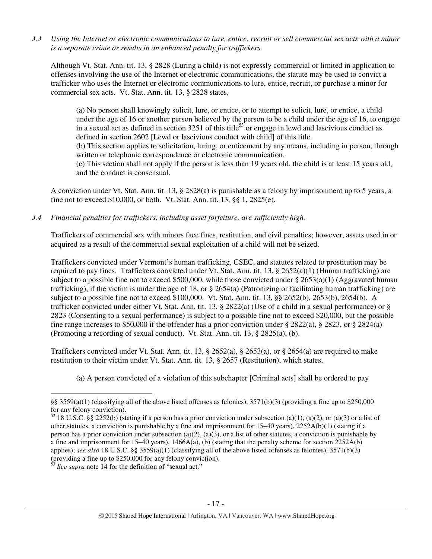*3.3 Using the Internet or electronic communications to lure, entice, recruit or sell commercial sex acts with a minor is a separate crime or results in an enhanced penalty for traffickers.* 

Although Vt. Stat. Ann. tit. 13, § 2828 (Luring a child) is not expressly commercial or limited in application to offenses involving the use of the Internet or electronic communications, the statute may be used to convict a trafficker who uses the Internet or electronic communications to lure, entice, recruit, or purchase a minor for commercial sex acts. Vt. Stat. Ann. tit. 13, § 2828 states,

(a) No person shall knowingly solicit, lure, or entice, or to attempt to solicit, lure, or entice, a child under the age of 16 or another person believed by the person to be a child under the age of 16, to engage in a sexual act as defined in section  $3251$  of this title<sup>53</sup> or engage in lewd and lascivious conduct as defined in section 2602 [Lewd or lascivious conduct with child] of this title.

(b) This section applies to solicitation, luring, or enticement by any means, including in person, through written or telephonic correspondence or electronic communication.

(c) This section shall not apply if the person is less than 19 years old, the child is at least 15 years old, and the conduct is consensual.

A conviction under Vt. Stat. Ann. tit. 13, § 2828(a) is punishable as a felony by imprisonment up to 5 years, a fine not to exceed \$10,000, or both. Vt. Stat. Ann. tit. 13, §§ 1, 2825(e).

*3.4 Financial penalties for traffickers, including asset forfeiture, are sufficiently high.* 

Traffickers of commercial sex with minors face fines, restitution, and civil penalties; however, assets used in or acquired as a result of the commercial sexual exploitation of a child will not be seized.

Traffickers convicted under Vermont's human trafficking, CSEC, and statutes related to prostitution may be required to pay fines. Traffickers convicted under Vt. Stat. Ann. tit. 13,  $\S$  2652(a)(1) (Human trafficking) are subject to a possible fine not to exceed \$500,000, while those convicted under § 2653(a)(1) (Aggravated human trafficking), if the victim is under the age of 18, or  $\S 2654(a)$  (Patronizing or facilitating human trafficking) are subject to a possible fine not to exceed \$100,000. Vt. Stat. Ann. tit. 13, §§ 2652(b), 2653(b), 2654(b). A trafficker convicted under either Vt. Stat. Ann. tit. 13, § 2822(a) (Use of a child in a sexual performance) or § 2823 (Consenting to a sexual performance) is subject to a possible fine not to exceed \$20,000, but the possible fine range increases to \$50,000 if the offender has a prior conviction under § 2822(a), § 2823, or § 2824(a) (Promoting a recording of sexual conduct). Vt. Stat. Ann. tit. 13, § 2825(a), (b).

Traffickers convicted under Vt. Stat. Ann. tit. 13, § 2652(a), § 2653(a), or § 2654(a) are required to make restitution to their victim under Vt. Stat. Ann. tit. 13, § 2657 (Restitution), which states,

(a) A person convicted of a violation of this subchapter [Criminal acts] shall be ordered to pay

<sup>§§ 3559(</sup>a)(1) (classifying all of the above listed offenses as felonies),  $3571(b)(3)$  (providing a fine up to \$250,000 for any felony conviction).

 $52$  18 U.S.C. §§ 2252(b) (stating if a person has a prior conviction under subsection (a)(1), (a)(2), or (a)(3) or a list of other statutes, a conviction is punishable by a fine and imprisonment for 15–40 years), 2252A(b)(1) (stating if a person has a prior conviction under subsection (a)(2), (a)(3), or a list of other statutes, a conviction is punishable by a fine and imprisonment for 15–40 years),  $1466A(a)$ , (b) (stating that the penalty scheme for section 2252A(b) applies); *see also* 18 U.S.C. §§ 3559(a)(1) (classifying all of the above listed offenses as felonies), 3571(b)(3) (providing a fine up to \$250,000 for any felony conviction).

See supra note 14 for the definition of "sexual act."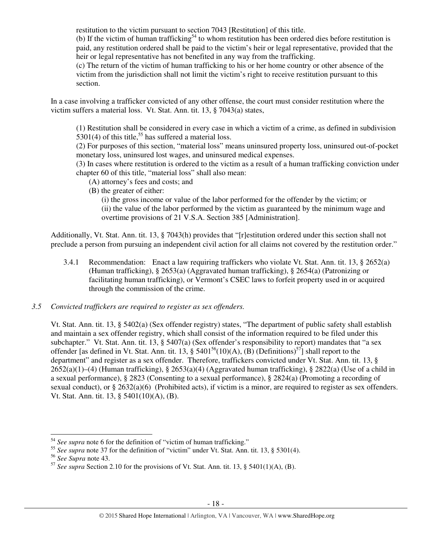restitution to the victim pursuant to section 7043 [Restitution] of this title.

(b) If the victim of human trafficking<sup>54</sup> to whom restitution has been ordered dies before restitution is paid, any restitution ordered shall be paid to the victim's heir or legal representative, provided that the heir or legal representative has not benefited in any way from the trafficking.

(c) The return of the victim of human trafficking to his or her home country or other absence of the victim from the jurisdiction shall not limit the victim's right to receive restitution pursuant to this section.

In a case involving a trafficker convicted of any other offense, the court must consider restitution where the victim suffers a material loss. Vt. Stat. Ann. tit. 13, § 7043(a) states,

(1) Restitution shall be considered in every case in which a victim of a crime, as defined in subdivision  $5301(4)$  of this title,<sup>55</sup> has suffered a material loss.

(2) For purposes of this section, "material loss" means uninsured property loss, uninsured out-of-pocket monetary loss, uninsured lost wages, and uninsured medical expenses.

(3) In cases where restitution is ordered to the victim as a result of a human trafficking conviction under chapter 60 of this title, "material loss" shall also mean:

- (A) attorney's fees and costs; and
- (B) the greater of either:

(i) the gross income or value of the labor performed for the offender by the victim; or (ii) the value of the labor performed by the victim as guaranteed by the minimum wage and overtime provisions of 21 V.S.A. Section 385 [Administration].

Additionally, Vt. Stat. Ann. tit. 13, § 7043(h) provides that "[r]estitution ordered under this section shall not preclude a person from pursuing an independent civil action for all claims not covered by the restitution order."

3.4.1 Recommendation: Enact a law requiring traffickers who violate Vt. Stat. Ann. tit. 13, § 2652(a) (Human trafficking), § 2653(a) (Aggravated human trafficking), § 2654(a) (Patronizing or facilitating human trafficking), or Vermont's CSEC laws to forfeit property used in or acquired through the commission of the crime.

# *3.5 Convicted traffickers are required to register as sex offenders.*

Vt. Stat. Ann. tit. 13, § 5402(a) (Sex offender registry) states, "The department of public safety shall establish and maintain a sex offender registry, which shall consist of the information required to be filed under this subchapter." Vt. Stat. Ann. tit. 13, § 5407(a) (Sex offender's responsibility to report) mandates that "a sex offender [as defined in Vt. Stat. Ann. tit. 13, §  $5401^{56}(10)(A)$ , (B) (Definitions)<sup>57</sup>] shall report to the department" and register as a sex offender. Therefore, traffickers convicted under Vt. Stat. Ann. tit. 13, § 2652(a)(1)–(4) (Human trafficking), § 2653(a)(4) (Aggravated human trafficking), § 2822(a) (Use of a child in a sexual performance), § 2823 (Consenting to a sexual performance), § 2824(a) (Promoting a recording of sexual conduct), or  $\S 2632(a)(6)$  (Prohibited acts), if victim is a minor, are required to register as sex offenders. Vt. Stat. Ann. tit. 13, § 5401(10)(A), (B).

 $\overline{a}$ 

<sup>54</sup> *See supra* note 6 for the definition of "victim of human trafficking."

<sup>&</sup>lt;sup>55</sup> See supra note 37 for the definition of "victim" under Vt. Stat. Ann. tit. 13, § 5301(4).

<sup>56</sup> *See Supra* note 43.

 $\frac{57}{3}$  *See supra* Section 2.10 for the provisions of Vt. Stat. Ann. tit. 13, § 5401(1)(A), (B).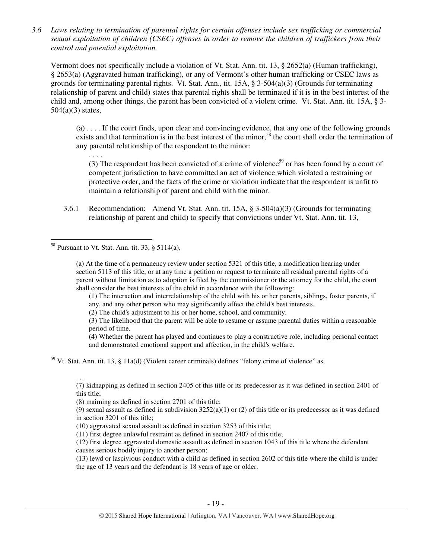*3.6 Laws relating to termination of parental rights for certain offenses include sex trafficking or commercial sexual exploitation of children (CSEC) offenses in order to remove the children of traffickers from their control and potential exploitation.* 

Vermont does not specifically include a violation of Vt. Stat. Ann. tit. 13, § 2652(a) (Human trafficking), § 2653(a) (Aggravated human trafficking), or any of Vermont's other human trafficking or CSEC laws as grounds for terminating parental rights. Vt. Stat. Ann., tit. 15A, § 3-504(a)(3) (Grounds for terminating relationship of parent and child) states that parental rights shall be terminated if it is in the best interest of the child and, among other things, the parent has been convicted of a violent crime. Vt. Stat. Ann. tit. 15A, § 3- 504(a)(3) states,

(a) . . . . If the court finds, upon clear and convincing evidence, that any one of the following grounds exists and that termination is in the best interest of the minor,<sup>58</sup> the court shall order the termination of any parental relationship of the respondent to the minor:

(3) The respondent has been convicted of a crime of violence<sup>59</sup> or has been found by a court of competent jurisdiction to have committed an act of violence which violated a restraining or protective order, and the facts of the crime or violation indicate that the respondent is unfit to maintain a relationship of parent and child with the minor.

3.6.1 Recommendation: Amend Vt. Stat. Ann. tit. 15A, § 3-504(a)(3) (Grounds for terminating relationship of parent and child) to specify that convictions under Vt. Stat. Ann. tit. 13,

 $58$  Pursuant to Vt. Stat. Ann. tit. 33, § 5114(a),

. . . .

l

(a) At the time of a permanency review under section 5321 of this title, a modification hearing under section 5113 of this title, or at any time a petition or request to terminate all residual parental rights of a parent without limitation as to adoption is filed by the commissioner or the attorney for the child, the court shall consider the best interests of the child in accordance with the following:

(1) The interaction and interrelationship of the child with his or her parents, siblings, foster parents, if any, and any other person who may significantly affect the child's best interests.

(2) The child's adjustment to his or her home, school, and community.

(3) The likelihood that the parent will be able to resume or assume parental duties within a reasonable period of time.

(4) Whether the parent has played and continues to play a constructive role, including personal contact and demonstrated emotional support and affection, in the child's welfare.

<sup>59</sup> Vt. Stat. Ann. tit. 13, § 11a(d) (Violent career criminals) defines "felony crime of violence" as,

. . . (7) kidnapping as defined in section 2405 of this title or its predecessor as it was defined in section 2401 of this title;

(8) maiming as defined in section 2701 of this title;

(9) sexual assault as defined in subdivision  $3252(a)(1)$  or (2) of this title or its predecessor as it was defined in section 3201 of this title;

(10) aggravated sexual assault as defined in section 3253 of this title;

(11) first degree unlawful restraint as defined in section 2407 of this title;

(12) first degree aggravated domestic assault as defined in section 1043 of this title where the defendant causes serious bodily injury to another person;

(13) lewd or lascivious conduct with a child as defined in section 2602 of this title where the child is under the age of 13 years and the defendant is 18 years of age or older.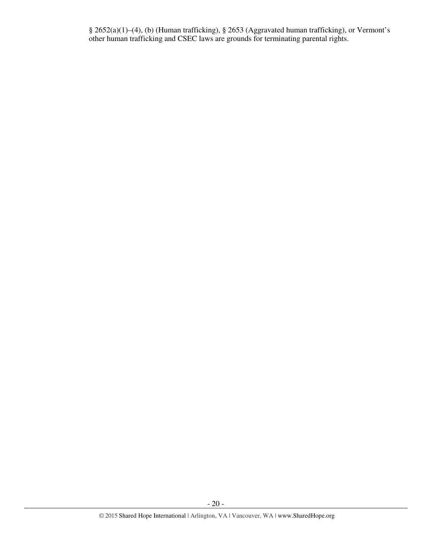§ 2652(a)(1)–(4), (b) (Human trafficking), § 2653 (Aggravated human trafficking), or Vermont's other human trafficking and CSEC laws are grounds for terminating parental rights.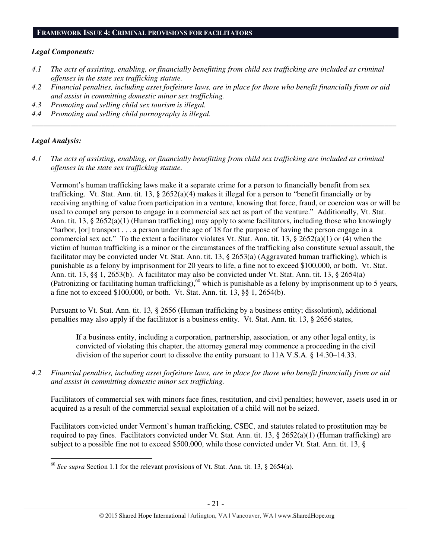#### **FRAMEWORK ISSUE 4: CRIMINAL PROVISIONS FOR FACILITATORS**

#### *Legal Components:*

- *4.1 The acts of assisting, enabling, or financially benefitting from child sex trafficking are included as criminal offenses in the state sex trafficking statute.*
- *4.2 Financial penalties, including asset forfeiture laws, are in place for those who benefit financially from or aid and assist in committing domestic minor sex trafficking.*

*\_\_\_\_\_\_\_\_\_\_\_\_\_\_\_\_\_\_\_\_\_\_\_\_\_\_\_\_\_\_\_\_\_\_\_\_\_\_\_\_\_\_\_\_\_\_\_\_\_\_\_\_\_\_\_\_\_\_\_\_\_\_\_\_\_\_\_\_\_\_\_\_\_\_\_\_\_\_\_\_\_\_\_\_\_\_\_\_\_\_\_\_\_\_* 

- *4.3 Promoting and selling child sex tourism is illegal.*
- *4.4 Promoting and selling child pornography is illegal.*

# *Legal Analysis:*

l

*4.1 The acts of assisting, enabling, or financially benefitting from child sex trafficking are included as criminal offenses in the state sex trafficking statute.* 

Vermont's human trafficking laws make it a separate crime for a person to financially benefit from sex trafficking. Vt. Stat. Ann. tit. 13, § 2652(a)(4) makes it illegal for a person to "benefit financially or by receiving anything of value from participation in a venture, knowing that force, fraud, or coercion was or will be used to compel any person to engage in a commercial sex act as part of the venture." Additionally, Vt. Stat. Ann. tit. 13, § 2652(a)(1) (Human trafficking) may apply to some facilitators, including those who knowingly "harbor, [or] transport . . . a person under the age of 18 for the purpose of having the person engage in a commercial sex act." To the extent a facilitator violates Vt. Stat. Ann. tit. 13, § 2652(a)(1) or (4) when the victim of human trafficking is a minor or the circumstances of the trafficking also constitute sexual assault, the facilitator may be convicted under Vt. Stat. Ann. tit. 13, § 2653(a) (Aggravated human trafficking), which is punishable as a felony by imprisonment for 20 years to life, a fine not to exceed \$100,000, or both. Vt. Stat. Ann. tit. 13, §§ 1, 2653(b). A facilitator may also be convicted under Vt. Stat. Ann. tit. 13, § 2654(a) (Patronizing or facilitating human trafficking), $60$  which is punishable as a felony by imprisonment up to 5 years, a fine not to exceed \$100,000, or both. Vt. Stat. Ann. tit. 13, §§ 1, 2654(b).

Pursuant to Vt. Stat. Ann. tit. 13, § 2656 (Human trafficking by a business entity; dissolution), additional penalties may also apply if the facilitator is a business entity. Vt. Stat. Ann. tit. 13, § 2656 states,

If a business entity, including a corporation, partnership, association, or any other legal entity, is convicted of violating this chapter, the attorney general may commence a proceeding in the civil division of the superior court to dissolve the entity pursuant to 11A V.S.A. § 14.30–14.33.

*4.2 Financial penalties, including asset forfeiture laws, are in place for those who benefit financially from or aid and assist in committing domestic minor sex trafficking.* 

Facilitators of commercial sex with minors face fines, restitution, and civil penalties; however, assets used in or acquired as a result of the commercial sexual exploitation of a child will not be seized.

Facilitators convicted under Vermont's human trafficking, CSEC, and statutes related to prostitution may be required to pay fines. Facilitators convicted under Vt. Stat. Ann. tit. 13, § 2652(a)(1) (Human trafficking) are subject to a possible fine not to exceed \$500,000, while those convicted under Vt. Stat. Ann. tit. 13, §

<sup>60</sup> *See supra* Section 1.1 for the relevant provisions of Vt. Stat. Ann. tit. 13, § 2654(a).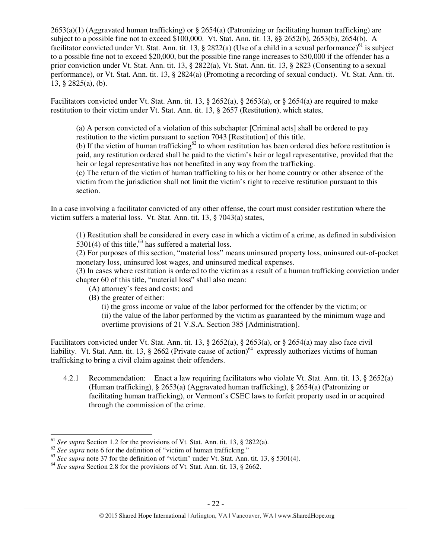$2653(a)(1)$  (Aggravated human trafficking) or § 2654(a) (Patronizing or facilitating human trafficking) are subject to a possible fine not to exceed \$100,000. Vt. Stat. Ann. tit. 13, §§ 2652(b), 2653(b), 2654(b). A facilitator convicted under Vt. Stat. Ann. tit. 13, § 2822(a) (Use of a child in a sexual performance)<sup>61</sup> is subject to a possible fine not to exceed \$20,000, but the possible fine range increases to \$50,000 if the offender has a prior conviction under Vt. Stat. Ann. tit. 13, § 2822(a), Vt. Stat. Ann. tit. 13, § 2823 (Consenting to a sexual performance), or Vt. Stat. Ann. tit. 13, § 2824(a) (Promoting a recording of sexual conduct). Vt. Stat. Ann. tit. 13, § 2825(a), (b).

Facilitators convicted under Vt. Stat. Ann. tit. 13, § 2652(a), § 2653(a), or § 2654(a) are required to make restitution to their victim under Vt. Stat. Ann. tit. 13, § 2657 (Restitution), which states,

(a) A person convicted of a violation of this subchapter [Criminal acts] shall be ordered to pay restitution to the victim pursuant to section 7043 [Restitution] of this title.

(b) If the victim of human trafficking<sup>62</sup> to whom restitution has been ordered dies before restitution is paid, any restitution ordered shall be paid to the victim's heir or legal representative, provided that the heir or legal representative has not benefited in any way from the trafficking.

(c) The return of the victim of human trafficking to his or her home country or other absence of the victim from the jurisdiction shall not limit the victim's right to receive restitution pursuant to this section.

In a case involving a facilitator convicted of any other offense, the court must consider restitution where the victim suffers a material loss. Vt. Stat. Ann. tit. 13, § 7043(a) states,

(1) Restitution shall be considered in every case in which a victim of a crime, as defined in subdivision  $5301(4)$  of this title,<sup>63</sup> has suffered a material loss.

(2) For purposes of this section, "material loss" means uninsured property loss, uninsured out-of-pocket monetary loss, uninsured lost wages, and uninsured medical expenses.

(3) In cases where restitution is ordered to the victim as a result of a human trafficking conviction under chapter 60 of this title, "material loss" shall also mean:

- (A) attorney's fees and costs; and
- (B) the greater of either:

(i) the gross income or value of the labor performed for the offender by the victim; or (ii) the value of the labor performed by the victim as guaranteed by the minimum wage and overtime provisions of 21 V.S.A. Section 385 [Administration].

Facilitators convicted under Vt. Stat. Ann. tit. 13, § 2652(a), § 2653(a), or § 2654(a) may also face civil liability. Vt. Stat. Ann. tit. 13, § 2662 (Private cause of action)<sup>64</sup> expressly authorizes victims of human trafficking to bring a civil claim against their offenders.

4.2.1 Recommendation: Enact a law requiring facilitators who violate Vt. Stat. Ann. tit. 13, § 2652(a) (Human trafficking), § 2653(a) (Aggravated human trafficking), § 2654(a) (Patronizing or facilitating human trafficking), or Vermont's CSEC laws to forfeit property used in or acquired through the commission of the crime.

<sup>61</sup> *See supra* Section 1.2 for the provisions of Vt. Stat. Ann. tit. 13, § 2822(a).

<sup>&</sup>lt;sup>62</sup> See supra note 6 for the definition of "victim of human trafficking."

<sup>&</sup>lt;sup>63</sup> See supra note 37 for the definition of "victim" under Vt. Stat. Ann. tit. 13, § 5301(4).

<sup>64</sup> *See supra* Section 2.8 for the provisions of Vt. Stat. Ann. tit. 13, § 2662.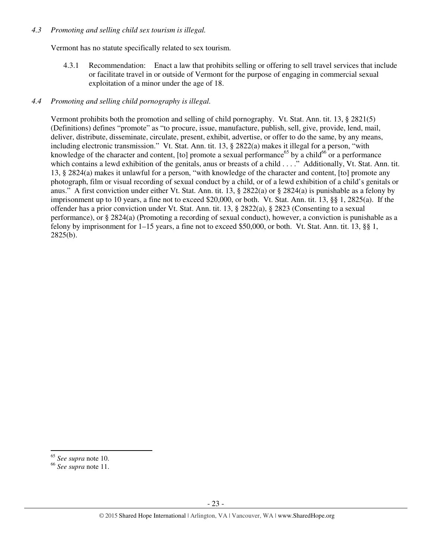#### *4.3 Promoting and selling child sex tourism is illegal.*

Vermont has no statute specifically related to sex tourism.

4.3.1 Recommendation: Enact a law that prohibits selling or offering to sell travel services that include or facilitate travel in or outside of Vermont for the purpose of engaging in commercial sexual exploitation of a minor under the age of 18.

# *4.4 Promoting and selling child pornography is illegal.*

Vermont prohibits both the promotion and selling of child pornography. Vt. Stat. Ann. tit. 13, § 2821(5) (Definitions) defines "promote" as "to procure, issue, manufacture, publish, sell, give, provide, lend, mail, deliver, distribute, disseminate, circulate, present, exhibit, advertise, or offer to do the same, by any means, including electronic transmission." Vt. Stat. Ann. tit. 13, § 2822(a) makes it illegal for a person, "with knowledge of the character and content, [to] promote a sexual performance<sup>65</sup> by a child<sup>66</sup> or a performance which contains a lewd exhibition of the genitals, anus or breasts of a child . . . ." Additionally, Vt. Stat. Ann. tit. 13, § 2824(a) makes it unlawful for a person, "with knowledge of the character and content, [to] promote any photograph, film or visual recording of sexual conduct by a child, or of a lewd exhibition of a child's genitals or anus." A first conviction under either Vt. Stat. Ann. tit. 13,  $\S 2822(a)$  or  $\S 2824(a)$  is punishable as a felony by imprisonment up to 10 years, a fine not to exceed \$20,000, or both. Vt. Stat. Ann. tit. 13, §§ 1, 2825(a). If the offender has a prior conviction under Vt. Stat. Ann. tit. 13, § 2822(a), § 2823 (Consenting to a sexual performance), or § 2824(a) (Promoting a recording of sexual conduct), however, a conviction is punishable as a felony by imprisonment for 1–15 years, a fine not to exceed \$50,000, or both. Vt. Stat. Ann. tit. 13, §§ 1, 2825(b).

<sup>65</sup> *See supra* note 10.

<sup>66</sup> *See supra* note 11.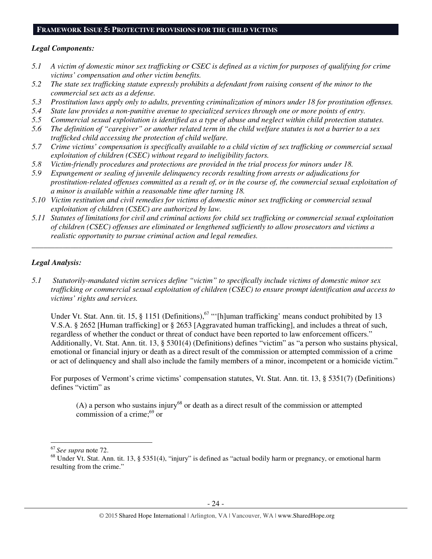#### **FRAMEWORK ISSUE 5: PROTECTIVE PROVISIONS FOR THE CHILD VICTIMS**

#### *Legal Components:*

- *5.1 A victim of domestic minor sex trafficking or CSEC is defined as a victim for purposes of qualifying for crime victims' compensation and other victim benefits.*
- *5.2 The state sex trafficking statute expressly prohibits a defendant from raising consent of the minor to the commercial sex acts as a defense.*
- *5.3 Prostitution laws apply only to adults, preventing criminalization of minors under 18 for prostitution offenses.*
- *5.4 State law provides a non-punitive avenue to specialized services through one or more points of entry.*
- *5.5 Commercial sexual exploitation is identified as a type of abuse and neglect within child protection statutes.*
- *5.6 The definition of "caregiver" or another related term in the child welfare statutes is not a barrier to a sex trafficked child accessing the protection of child welfare.*
- *5.7 Crime victims' compensation is specifically available to a child victim of sex trafficking or commercial sexual exploitation of children (CSEC) without regard to ineligibility factors.*
- *5.8 Victim-friendly procedures and protections are provided in the trial process for minors under 18.*
- *5.9 Expungement or sealing of juvenile delinquency records resulting from arrests or adjudications for prostitution-related offenses committed as a result of, or in the course of, the commercial sexual exploitation of a minor is available within a reasonable time after turning 18.*
- *5.10 Victim restitution and civil remedies for victims of domestic minor sex trafficking or commercial sexual exploitation of children (CSEC) are authorized by law.*
- *5.11 Statutes of limitations for civil and criminal actions for child sex trafficking or commercial sexual exploitation of children (CSEC) offenses are eliminated or lengthened sufficiently to allow prosecutors and victims a realistic opportunity to pursue criminal action and legal remedies.*

*\_\_\_\_\_\_\_\_\_\_\_\_\_\_\_\_\_\_\_\_\_\_\_\_\_\_\_\_\_\_\_\_\_\_\_\_\_\_\_\_\_\_\_\_\_\_\_\_\_\_\_\_\_\_\_\_\_\_\_\_\_\_\_\_\_\_\_\_\_\_\_\_\_\_\_\_\_\_\_\_\_\_\_\_\_\_\_\_\_\_\_\_\_* 

# *Legal Analysis:*

*5.1 Statutorily-mandated victim services define "victim" to specifically include victims of domestic minor sex trafficking or commercial sexual exploitation of children (CSEC) to ensure prompt identification and access to victims' rights and services.* 

Under Vt. Stat. Ann. tit. 15, § 1151 (Definitions),<sup>67</sup> "'[h]uman trafficking' means conduct prohibited by 13 V.S.A. § 2652 [Human trafficking] or § 2653 [Aggravated human trafficking], and includes a threat of such, regardless of whether the conduct or threat of conduct have been reported to law enforcement officers." Additionally, Vt. Stat. Ann. tit. 13, § 5301(4) (Definitions) defines "victim" as "a person who sustains physical, emotional or financial injury or death as a direct result of the commission or attempted commission of a crime or act of delinquency and shall also include the family members of a minor, incompetent or a homicide victim."

For purposes of Vermont's crime victims' compensation statutes, Vt. Stat. Ann. tit. 13, § 5351(7) (Definitions) defines "victim" as

 $(A)$  a person who sustains injury<sup>68</sup> or death as a direct result of the commission or attempted commission of a crime; $^{69}$  or

<sup>67</sup>*See supra* note 72.

<sup>&</sup>lt;sup>68</sup> Under Vt. Stat. Ann. tit. 13, § 5351(4), "injury" is defined as "actual bodily harm or pregnancy, or emotional harm resulting from the crime."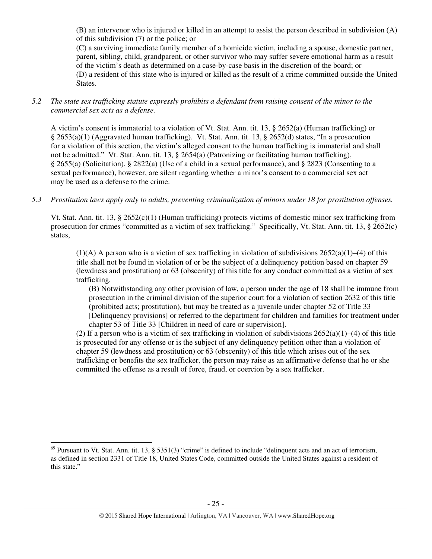(B) an intervenor who is injured or killed in an attempt to assist the person described in subdivision (A) of this subdivision (7) or the police; or

(C) a surviving immediate family member of a homicide victim, including a spouse, domestic partner, parent, sibling, child, grandparent, or other survivor who may suffer severe emotional harm as a result of the victim's death as determined on a case-by-case basis in the discretion of the board; or (D) a resident of this state who is injured or killed as the result of a crime committed outside the United States.

*5.2 The state sex trafficking statute expressly prohibits a defendant from raising consent of the minor to the commercial sex acts as a defense.* 

A victim's consent is immaterial to a violation of Vt. Stat. Ann. tit. 13, § 2652(a) (Human trafficking) or § 2653(a)(1) (Aggravated human trafficking). Vt. Stat. Ann. tit. 13, § 2652(d) states, "In a prosecution for a violation of this section, the victim's alleged consent to the human trafficking is immaterial and shall not be admitted." Vt. Stat. Ann. tit. 13, § 2654(a) (Patronizing or facilitating human trafficking), § 2655(a) (Solicitation), § 2822(a) (Use of a child in a sexual performance), and § 2823 (Consenting to a sexual performance), however, are silent regarding whether a minor's consent to a commercial sex act may be used as a defense to the crime.

# *5.3 Prostitution laws apply only to adults, preventing criminalization of minors under 18 for prostitution offenses.*

Vt. Stat. Ann. tit. 13, § 2652(c)(1) (Human trafficking) protects victims of domestic minor sex trafficking from prosecution for crimes "committed as a victim of sex trafficking." Specifically, Vt. Stat. Ann. tit. 13, § 2652(c) states,

 $(1)(A)$  A person who is a victim of sex trafficking in violation of subdivisions  $2652(a)(1)–(4)$  of this title shall not be found in violation of or be the subject of a delinquency petition based on chapter 59 (lewdness and prostitution) or 63 (obscenity) of this title for any conduct committed as a victim of sex trafficking.

(B) Notwithstanding any other provision of law, a person under the age of 18 shall be immune from prosecution in the criminal division of the superior court for a violation of section 2632 of this title (prohibited acts; prostitution), but may be treated as a juvenile under chapter 52 of Title 33 [Delinquency provisions] or referred to the department for children and families for treatment under chapter 53 of Title 33 [Children in need of care or supervision].

(2) If a person who is a victim of sex trafficking in violation of subdivisions  $2652(a)(1)–(4)$  of this title is prosecuted for any offense or is the subject of any delinquency petition other than a violation of chapter 59 (lewdness and prostitution) or 63 (obscenity) of this title which arises out of the sex trafficking or benefits the sex trafficker, the person may raise as an affirmative defense that he or she committed the offense as a result of force, fraud, or coercion by a sex trafficker.

 $\overline{a}$ 

 $^{69}$  Pursuant to Vt. Stat. Ann. tit. 13, § 5351(3) "crime" is defined to include "delinquent acts and an act of terrorism, as defined in section 2331 of Title 18, United States Code, committed outside the United States against a resident of this state."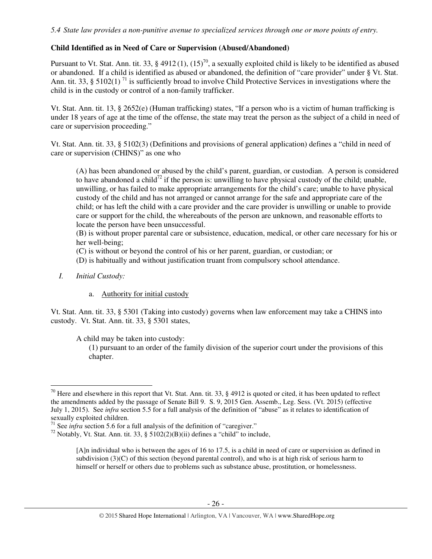# **Child Identified as in Need of Care or Supervision (Abused/Abandoned)**

Pursuant to Vt. Stat. Ann. tit. 33, § 4912(1),  $(15)^{70}$ , a sexually exploited child is likely to be identified as abused or abandoned. If a child is identified as abused or abandoned, the definition of "care provider" under § Vt. Stat. Ann. tit. 33, § 5102(1)<sup>71</sup> is sufficiently broad to involve Child Protective Services in investigations where the child is in the custody or control of a non-family trafficker.

Vt. Stat. Ann. tit. 13, § 2652(e) (Human trafficking) states, "If a person who is a victim of human trafficking is under 18 years of age at the time of the offense, the state may treat the person as the subject of a child in need of care or supervision proceeding."

Vt. Stat. Ann. tit. 33, § 5102(3) (Definitions and provisions of general application) defines a "child in need of care or supervision (CHINS)" as one who

(A) has been abandoned or abused by the child's parent, guardian, or custodian. A person is considered to have abandoned a child<sup>72</sup> if the person is: unwilling to have physical custody of the child; unable, unwilling, or has failed to make appropriate arrangements for the child's care; unable to have physical custody of the child and has not arranged or cannot arrange for the safe and appropriate care of the child; or has left the child with a care provider and the care provider is unwilling or unable to provide care or support for the child, the whereabouts of the person are unknown, and reasonable efforts to locate the person have been unsuccessful.

(B) is without proper parental care or subsistence, education, medical, or other care necessary for his or her well-being;

(C) is without or beyond the control of his or her parent, guardian, or custodian; or

(D) is habitually and without justification truant from compulsory school attendance.

*I. Initial Custody:* 

l

a. Authority for initial custody

Vt. Stat. Ann. tit. 33, § 5301 (Taking into custody) governs when law enforcement may take a CHINS into custody. Vt. Stat. Ann. tit. 33, § 5301 states,

A child may be taken into custody:

(1) pursuant to an order of the family division of the superior court under the provisions of this chapter.

<sup>&</sup>lt;sup>70</sup> Here and elsewhere in this report that Vt. Stat. Ann. tit. 33, § 4912 is quoted or cited, it has been updated to reflect the amendments added by the passage of Senate Bill 9. S. 9, 2015 Gen. Assemb., Leg. Sess. (Vt. 2015) (effective July 1, 2015). See *infra* section 5.5 for a full analysis of the definition of "abuse" as it relates to identification of sexually exploited children.

<sup>&</sup>lt;sup>71</sup> See *infra* section 5.6 for a full analysis of the definition of "caregiver."

<sup>&</sup>lt;sup>72</sup> Notably, Vt. Stat. Ann. tit. 33, § 5102(2)(B)(ii) defines a "child" to include,

<sup>[</sup>A]n individual who is between the ages of 16 to 17.5, is a child in need of care or supervision as defined in subdivision (3)(C) of this section (beyond parental control), and who is at high risk of serious harm to himself or herself or others due to problems such as substance abuse, prostitution, or homelessness.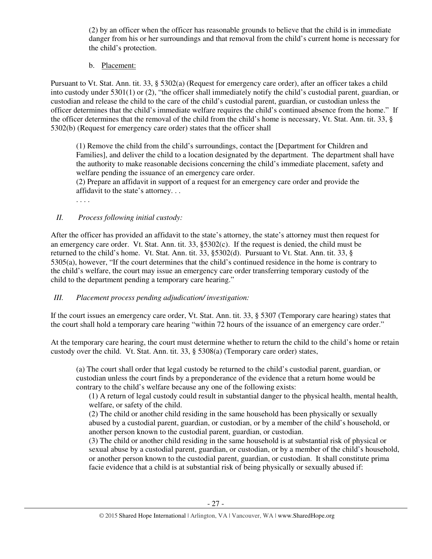(2) by an officer when the officer has reasonable grounds to believe that the child is in immediate danger from his or her surroundings and that removal from the child's current home is necessary for the child's protection.

b. Placement:

Pursuant to Vt. Stat. Ann. tit. 33, § 5302(a) (Request for emergency care order), after an officer takes a child into custody under 5301(1) or (2), "the officer shall immediately notify the child's custodial parent, guardian, or custodian and release the child to the care of the child's custodial parent, guardian, or custodian unless the officer determines that the child's immediate welfare requires the child's continued absence from the home." If the officer determines that the removal of the child from the child's home is necessary, Vt. Stat. Ann. tit. 33, § 5302(b) (Request for emergency care order) states that the officer shall

(1) Remove the child from the child's surroundings, contact the [Department for Children and Families], and deliver the child to a location designated by the department. The department shall have the authority to make reasonable decisions concerning the child's immediate placement, safety and welfare pending the issuance of an emergency care order.

(2) Prepare an affidavit in support of a request for an emergency care order and provide the affidavit to the state's attorney. . .

. . . .

# *II. Process following initial custody:*

After the officer has provided an affidavit to the state's attorney, the state's attorney must then request for an emergency care order. Vt. Stat. Ann. tit. 33, §5302(c). If the request is denied, the child must be returned to the child's home. Vt. Stat. Ann. tit. 33, §5302(d). Pursuant to Vt. Stat. Ann. tit. 33, § 5305(a), however, "If the court determines that the child's continued residence in the home is contrary to the child's welfare, the court may issue an emergency care order transferring temporary custody of the child to the department pending a temporary care hearing."

# *III. Placement process pending adjudication/ investigation:*

If the court issues an emergency care order, Vt. Stat. Ann. tit. 33, § 5307 (Temporary care hearing) states that the court shall hold a temporary care hearing "within 72 hours of the issuance of an emergency care order."

At the temporary care hearing, the court must determine whether to return the child to the child's home or retain custody over the child. Vt. Stat. Ann. tit. 33, § 5308(a) (Temporary care order) states,

(a) The court shall order that legal custody be returned to the child's custodial parent, guardian, or custodian unless the court finds by a preponderance of the evidence that a return home would be contrary to the child's welfare because any one of the following exists:

(1) A return of legal custody could result in substantial danger to the physical health, mental health, welfare, or safety of the child.

(2) The child or another child residing in the same household has been physically or sexually abused by a custodial parent, guardian, or custodian, or by a member of the child's household, or another person known to the custodial parent, guardian, or custodian.

(3) The child or another child residing in the same household is at substantial risk of physical or sexual abuse by a custodial parent, guardian, or custodian, or by a member of the child's household, or another person known to the custodial parent, guardian, or custodian. It shall constitute prima facie evidence that a child is at substantial risk of being physically or sexually abused if: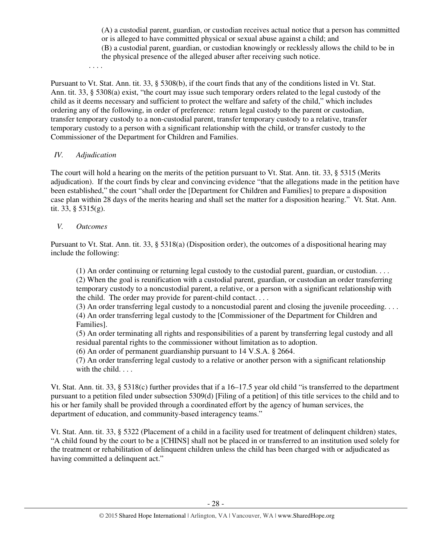(A) a custodial parent, guardian, or custodian receives actual notice that a person has committed or is alleged to have committed physical or sexual abuse against a child; and (B) a custodial parent, guardian, or custodian knowingly or recklessly allows the child to be in the physical presence of the alleged abuser after receiving such notice.

. . . .

Pursuant to Vt. Stat. Ann. tit. 33, § 5308(b), if the court finds that any of the conditions listed in Vt. Stat. Ann. tit. 33, § 5308(a) exist, "the court may issue such temporary orders related to the legal custody of the child as it deems necessary and sufficient to protect the welfare and safety of the child," which includes ordering any of the following, in order of preference: return legal custody to the parent or custodian, transfer temporary custody to a non-custodial parent, transfer temporary custody to a relative, transfer temporary custody to a person with a significant relationship with the child, or transfer custody to the Commissioner of the Department for Children and Families.

# *IV. Adjudication*

The court will hold a hearing on the merits of the petition pursuant to Vt. Stat. Ann. tit. 33, § 5315 (Merits adjudication). If the court finds by clear and convincing evidence "that the allegations made in the petition have been established," the court "shall order the [Department for Children and Families] to prepare a disposition case plan within 28 days of the merits hearing and shall set the matter for a disposition hearing." Vt. Stat. Ann. tit. 33,  $\S$  5315(g).

# *V. Outcomes*

Pursuant to Vt. Stat. Ann. tit. 33, § 5318(a) (Disposition order), the outcomes of a dispositional hearing may include the following:

(1) An order continuing or returning legal custody to the custodial parent, guardian, or custodian. . . . (2) When the goal is reunification with a custodial parent, guardian, or custodian an order transferring temporary custody to a noncustodial parent, a relative, or a person with a significant relationship with the child. The order may provide for parent-child contact. . . .

(3) An order transferring legal custody to a noncustodial parent and closing the juvenile proceeding. . . . (4) An order transferring legal custody to the [Commissioner of the Department for Children and Families].

(5) An order terminating all rights and responsibilities of a parent by transferring legal custody and all residual parental rights to the commissioner without limitation as to adoption.

(6) An order of permanent guardianship pursuant to 14 V.S.A. § 2664.

(7) An order transferring legal custody to a relative or another person with a significant relationship with the child. . . .

Vt. Stat. Ann. tit. 33, § 5318(c) further provides that if a 16–17.5 year old child "is transferred to the department pursuant to a petition filed under subsection 5309(d) [Filing of a petition] of this title services to the child and to his or her family shall be provided through a coordinated effort by the agency of human services, the department of education, and community-based interagency teams."

Vt. Stat. Ann. tit. 33, § 5322 (Placement of a child in a facility used for treatment of delinquent children) states, "A child found by the court to be a [CHINS] shall not be placed in or transferred to an institution used solely for the treatment or rehabilitation of delinquent children unless the child has been charged with or adjudicated as having committed a delinquent act."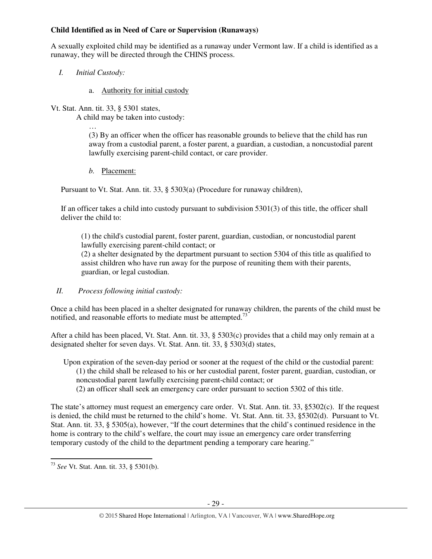# **Child Identified as in Need of Care or Supervision (Runaways)**

A sexually exploited child may be identified as a runaway under Vermont law. If a child is identified as a runaway, they will be directed through the CHINS process.

- *I. Initial Custody:* 
	- a. Authority for initial custody
- Vt. Stat. Ann. tit. 33, § 5301 states,

A child may be taken into custody:

… (3) By an officer when the officer has reasonable grounds to believe that the child has run away from a custodial parent, a foster parent, a guardian, a custodian, a noncustodial parent lawfully exercising parent-child contact, or care provider.

*b.* Placement:

Pursuant to Vt. Stat. Ann. tit. 33, § 5303(a) (Procedure for runaway children),

If an officer takes a child into custody pursuant to subdivision 5301(3) of this title, the officer shall deliver the child to:

(1) the child's custodial parent, foster parent, guardian, custodian, or noncustodial parent lawfully exercising parent-child contact; or

(2) a shelter designated by the department pursuant to section 5304 of this title as qualified to assist children who have run away for the purpose of reuniting them with their parents, guardian, or legal custodian.

*II. Process following initial custody:* 

Once a child has been placed in a shelter designated for runaway children, the parents of the child must be notified, and reasonable efforts to mediate must be attempted.<sup>73</sup>

After a child has been placed, Vt. Stat. Ann. tit. 33, § 5303(c) provides that a child may only remain at a designated shelter for seven days. Vt. Stat. Ann. tit. 33, § 5303(d) states,

- Upon expiration of the seven-day period or sooner at the request of the child or the custodial parent: (1) the child shall be released to his or her custodial parent, foster parent, guardian, custodian, or noncustodial parent lawfully exercising parent-child contact; or
	- (2) an officer shall seek an emergency care order pursuant to section 5302 of this title.

The state's attorney must request an emergency care order. Vt. Stat. Ann. tit. 33, §5302(c). If the request is denied, the child must be returned to the child's home. Vt. Stat. Ann. tit. 33, §5302(d). Pursuant to Vt. Stat. Ann. tit. 33, § 5305(a), however, "If the court determines that the child's continued residence in the home is contrary to the child's welfare, the court may issue an emergency care order transferring temporary custody of the child to the department pending a temporary care hearing."

<sup>73</sup> *See* Vt. Stat. Ann. tit. 33, § 5301(b).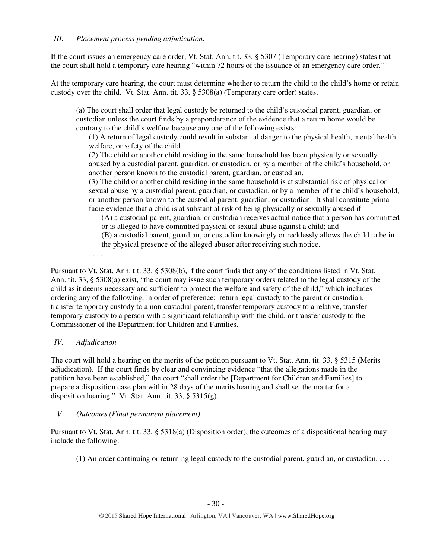If the court issues an emergency care order, Vt. Stat. Ann. tit. 33, § 5307 (Temporary care hearing) states that the court shall hold a temporary care hearing "within 72 hours of the issuance of an emergency care order."

At the temporary care hearing, the court must determine whether to return the child to the child's home or retain custody over the child. Vt. Stat. Ann. tit. 33, § 5308(a) (Temporary care order) states,

(a) The court shall order that legal custody be returned to the child's custodial parent, guardian, or custodian unless the court finds by a preponderance of the evidence that a return home would be contrary to the child's welfare because any one of the following exists:

(1) A return of legal custody could result in substantial danger to the physical health, mental health, welfare, or safety of the child.

(2) The child or another child residing in the same household has been physically or sexually abused by a custodial parent, guardian, or custodian, or by a member of the child's household, or another person known to the custodial parent, guardian, or custodian.

(3) The child or another child residing in the same household is at substantial risk of physical or sexual abuse by a custodial parent, guardian, or custodian, or by a member of the child's household, or another person known to the custodial parent, guardian, or custodian. It shall constitute prima facie evidence that a child is at substantial risk of being physically or sexually abused if:

(A) a custodial parent, guardian, or custodian receives actual notice that a person has committed or is alleged to have committed physical or sexual abuse against a child; and

(B) a custodial parent, guardian, or custodian knowingly or recklessly allows the child to be in

the physical presence of the alleged abuser after receiving such notice.

. . . .

Pursuant to Vt. Stat. Ann. tit. 33, § 5308(b), if the court finds that any of the conditions listed in Vt. Stat. Ann. tit. 33, § 5308(a) exist, "the court may issue such temporary orders related to the legal custody of the child as it deems necessary and sufficient to protect the welfare and safety of the child," which includes ordering any of the following, in order of preference: return legal custody to the parent or custodian, transfer temporary custody to a non-custodial parent, transfer temporary custody to a relative, transfer temporary custody to a person with a significant relationship with the child, or transfer custody to the Commissioner of the Department for Children and Families.

# *IV. Adjudication*

The court will hold a hearing on the merits of the petition pursuant to Vt. Stat. Ann. tit. 33, § 5315 (Merits adjudication). If the court finds by clear and convincing evidence "that the allegations made in the petition have been established," the court "shall order the [Department for Children and Families] to prepare a disposition case plan within 28 days of the merits hearing and shall set the matter for a disposition hearing." Vt. Stat. Ann. tit. 33, § 5315(g).

# *V. Outcomes (Final permanent placement)*

Pursuant to Vt. Stat. Ann. tit. 33, § 5318(a) (Disposition order), the outcomes of a dispositional hearing may include the following:

(1) An order continuing or returning legal custody to the custodial parent, guardian, or custodian. . . .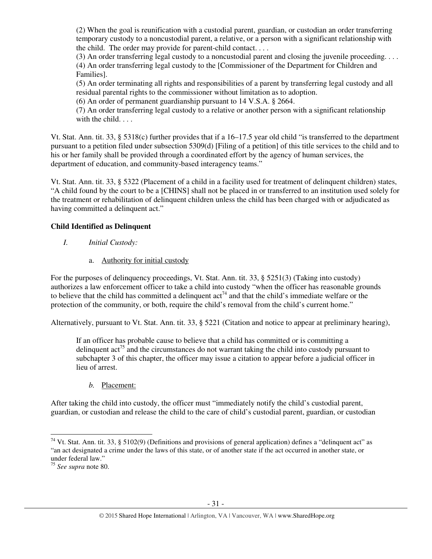(2) When the goal is reunification with a custodial parent, guardian, or custodian an order transferring temporary custody to a noncustodial parent, a relative, or a person with a significant relationship with the child. The order may provide for parent-child contact. . . .

(3) An order transferring legal custody to a noncustodial parent and closing the juvenile proceeding. . . . (4) An order transferring legal custody to the [Commissioner of the Department for Children and Families].

(5) An order terminating all rights and responsibilities of a parent by transferring legal custody and all residual parental rights to the commissioner without limitation as to adoption.

(6) An order of permanent guardianship pursuant to 14 V.S.A. § 2664.

(7) An order transferring legal custody to a relative or another person with a significant relationship with the child. . . .

Vt. Stat. Ann. tit. 33, § 5318(c) further provides that if a 16–17.5 year old child "is transferred to the department pursuant to a petition filed under subsection 5309(d) [Filing of a petition] of this title services to the child and to his or her family shall be provided through a coordinated effort by the agency of human services, the department of education, and community-based interagency teams."

Vt. Stat. Ann. tit. 33, § 5322 (Placement of a child in a facility used for treatment of delinquent children) states, "A child found by the court to be a [CHINS] shall not be placed in or transferred to an institution used solely for the treatment or rehabilitation of delinquent children unless the child has been charged with or adjudicated as having committed a delinquent act."

# **Child Identified as Delinquent**

- *I. Initial Custody:* 
	- a. Authority for initial custody

For the purposes of delinquency proceedings, Vt. Stat. Ann. tit. 33, § 5251(3) (Taking into custody) authorizes a law enforcement officer to take a child into custody "when the officer has reasonable grounds to believe that the child has committed a delinquent  $\arctan^{74}$  and that the child's immediate welfare or the protection of the community, or both, require the child's removal from the child's current home."

Alternatively, pursuant to Vt. Stat. Ann. tit. 33, § 5221 (Citation and notice to appear at preliminary hearing),

If an officer has probable cause to believe that a child has committed or is committing a delinquent  $\arctan^{75}$  and the circumstances do not warrant taking the child into custody pursuant to subchapter 3 of this chapter, the officer may issue a citation to appear before a judicial officer in lieu of arrest.

*b.* Placement:

After taking the child into custody, the officer must "immediately notify the child's custodial parent, guardian, or custodian and release the child to the care of child's custodial parent, guardian, or custodian

<sup>&</sup>lt;sup>74</sup> Vt. Stat. Ann. tit. 33, § 5102(9) (Definitions and provisions of general application) defines a "delinquent act" as "an act designated a crime under the laws of this state, or of another state if the act occurred in another state, or under federal law."

<sup>75</sup> *See supra* note 80.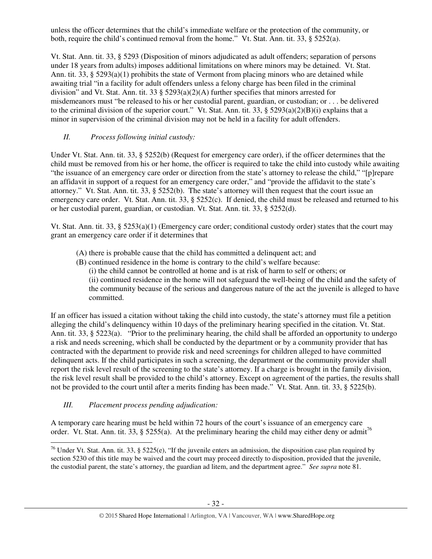unless the officer determines that the child's immediate welfare or the protection of the community, or both, require the child's continued removal from the home." Vt. Stat. Ann. tit. 33, § 5252(a).

Vt. Stat. Ann. tit. 33, § 5293 (Disposition of minors adjudicated as adult offenders; separation of persons under 18 years from adults) imposes additional limitations on where minors may be detained. Vt. Stat. Ann. tit.  $33$ ,  $\S$   $5293(a)(1)$  prohibits the state of Vermont from placing minors who are detained while awaiting trial "in a facility for adult offenders unless a felony charge has been filed in the criminal division" and Vt. Stat. Ann. tit. 33 § 5293(a)(2)(A) further specifies that minors arrested for misdemeanors must "be released to his or her custodial parent, guardian, or custodian; or . . . be delivered to the criminal division of the superior court." Vt. Stat. Ann. tit. 33, § 5293(a)(2)(B)(i) explains that a minor in supervision of the criminal division may not be held in a facility for adult offenders.

# *II. Process following initial custody:*

Under Vt. Stat. Ann. tit. 33, § 5252(b) (Request for emergency care order), if the officer determines that the child must be removed from his or her home, the officer is required to take the child into custody while awaiting "the issuance of an emergency care order or direction from the state's attorney to release the child," "[p]repare an affidavit in support of a request for an emergency care order," and "provide the affidavit to the state's attorney." Vt. Stat. Ann. tit. 33, § 5252(b). The state's attorney will then request that the court issue an emergency care order. Vt. Stat. Ann. tit. 33, § 5252(c). If denied, the child must be released and returned to his or her custodial parent, guardian, or custodian. Vt. Stat. Ann. tit. 33, § 5252(d).

Vt. Stat. Ann. tit. 33, §  $5253(a)(1)$  (Emergency care order; conditional custody order) states that the court may grant an emergency care order if it determines that

- (A) there is probable cause that the child has committed a delinquent act; and
- (B) continued residence in the home is contrary to the child's welfare because:
	- (i) the child cannot be controlled at home and is at risk of harm to self or others; or (ii) continued residence in the home will not safeguard the well-being of the child and the safety of the community because of the serious and dangerous nature of the act the juvenile is alleged to have committed.

If an officer has issued a citation without taking the child into custody, the state's attorney must file a petition alleging the child's delinquency within 10 days of the preliminary hearing specified in the citation. Vt. Stat. Ann. tit. 33, § 5223(a). "Prior to the preliminary hearing, the child shall be afforded an opportunity to undergo a risk and needs screening, which shall be conducted by the department or by a community provider that has contracted with the department to provide risk and need screenings for children alleged to have committed delinquent acts. If the child participates in such a screening, the department or the community provider shall report the risk level result of the screening to the state's attorney. If a charge is brought in the family division, the risk level result shall be provided to the child's attorney. Except on agreement of the parties, the results shall not be provided to the court until after a merits finding has been made." Vt. Stat. Ann. tit. 33, § 5225(b).

*III. Placement process pending adjudication:* 

A temporary care hearing must be held within 72 hours of the court's issuance of an emergency care order. Vt. Stat. Ann. tit. 33, § 5255(a). At the preliminary hearing the child may either deny or admit<sup>76</sup> l

<sup>&</sup>lt;sup>76</sup> Under Vt. Stat. Ann. tit. 33, § 5225(e), "If the juvenile enters an admission, the disposition case plan required by section 5230 of this title may be waived and the court may proceed directly to disposition, provided that the juvenile, the custodial parent, the state's attorney, the guardian ad litem, and the department agree." *See supra* note 81.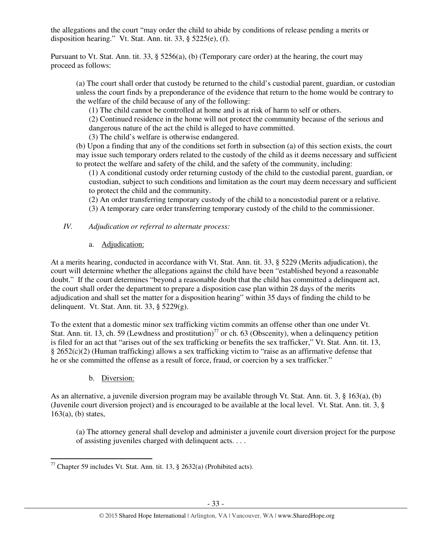the allegations and the court "may order the child to abide by conditions of release pending a merits or disposition hearing." Vt. Stat. Ann. tit. 33, § 5225(e), (f).

Pursuant to Vt. Stat. Ann. tit. 33, § 5256(a), (b) (Temporary care order) at the hearing, the court may proceed as follows:

(a) The court shall order that custody be returned to the child's custodial parent, guardian, or custodian unless the court finds by a preponderance of the evidence that return to the home would be contrary to the welfare of the child because of any of the following:

(1) The child cannot be controlled at home and is at risk of harm to self or others.

(2) Continued residence in the home will not protect the community because of the serious and dangerous nature of the act the child is alleged to have committed.

(3) The child's welfare is otherwise endangered.

(b) Upon a finding that any of the conditions set forth in subsection (a) of this section exists, the court may issue such temporary orders related to the custody of the child as it deems necessary and sufficient to protect the welfare and safety of the child, and the safety of the community, including:

(1) A conditional custody order returning custody of the child to the custodial parent, guardian, or custodian, subject to such conditions and limitation as the court may deem necessary and sufficient to protect the child and the community.

(2) An order transferring temporary custody of the child to a noncustodial parent or a relative.

(3) A temporary care order transferring temporary custody of the child to the commissioner.

*IV. Adjudication or referral to alternate process:* 

a. Adjudication:

At a merits hearing, conducted in accordance with Vt. Stat. Ann. tit. 33, § 5229 (Merits adjudication), the court will determine whether the allegations against the child have been "established beyond a reasonable doubt." If the court determines "beyond a reasonable doubt that the child has committed a delinquent act, the court shall order the department to prepare a disposition case plan within 28 days of the merits adjudication and shall set the matter for a disposition hearing" within 35 days of finding the child to be delinquent. Vt. Stat. Ann. tit. 33, § 5229(g).

To the extent that a domestic minor sex trafficking victim commits an offense other than one under Vt. Stat. Ann. tit. 13, ch. 59 (Lewdness and prostitution)<sup>77</sup> or ch. 63 (Obscenity), when a delinquency petition is filed for an act that "arises out of the sex trafficking or benefits the sex trafficker," Vt. Stat. Ann. tit. 13,  $§$  2652(c)(2) (Human trafficking) allows a sex trafficking victim to "raise as an affirmative defense that he or she committed the offense as a result of force, fraud, or coercion by a sex trafficker."

b. Diversion:

l

As an alternative, a juvenile diversion program may be available through Vt. Stat. Ann. tit. 3, § 163(a), (b) (Juvenile court diversion project) and is encouraged to be available at the local level. Vt. Stat. Ann. tit. 3, §  $163(a)$ , (b) states,

(a) The attorney general shall develop and administer a juvenile court diversion project for the purpose of assisting juveniles charged with delinquent acts. . . .

<sup>&</sup>lt;sup>77</sup> Chapter 59 includes Vt. Stat. Ann. tit. 13,  $\S$  2632(a) (Prohibited acts).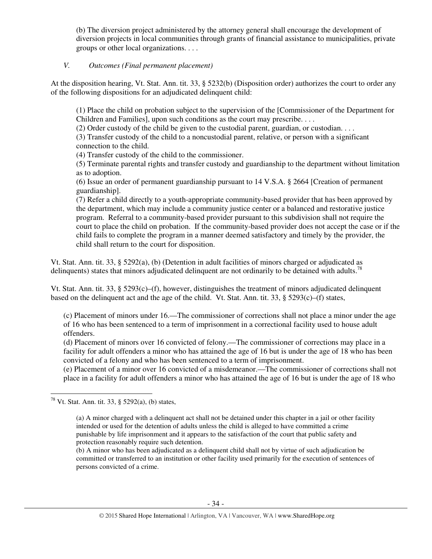(b) The diversion project administered by the attorney general shall encourage the development of diversion projects in local communities through grants of financial assistance to municipalities, private groups or other local organizations. . . .

# *V. Outcomes (Final permanent placement)*

At the disposition hearing, Vt. Stat. Ann. tit. 33, § 5232(b) (Disposition order) authorizes the court to order any of the following dispositions for an adjudicated delinquent child:

(1) Place the child on probation subject to the supervision of the [Commissioner of the Department for Children and Families], upon such conditions as the court may prescribe. . . .

(2) Order custody of the child be given to the custodial parent, guardian, or custodian. . . .

(3) Transfer custody of the child to a noncustodial parent, relative, or person with a significant connection to the child.

(4) Transfer custody of the child to the commissioner.

(5) Terminate parental rights and transfer custody and guardianship to the department without limitation as to adoption.

(6) Issue an order of permanent guardianship pursuant to 14 V.S.A. § 2664 [Creation of permanent guardianship].

(7) Refer a child directly to a youth-appropriate community-based provider that has been approved by the department, which may include a community justice center or a balanced and restorative justice program. Referral to a community-based provider pursuant to this subdivision shall not require the court to place the child on probation. If the community-based provider does not accept the case or if the child fails to complete the program in a manner deemed satisfactory and timely by the provider, the child shall return to the court for disposition.

Vt. Stat. Ann. tit. 33, § 5292(a), (b) (Detention in adult facilities of minors charged or adjudicated as delinquents) states that minors adjudicated delinquent are not ordinarily to be detained with adults.<sup>78</sup>

Vt. Stat. Ann. tit. 33, §  $5293(c)$ –(f), however, distinguishes the treatment of minors adjudicated delinquent based on the delinquent act and the age of the child. Vt. Stat. Ann. tit. 33, §  $5293(c)$ –(f) states,

(c) Placement of minors under 16.—The commissioner of corrections shall not place a minor under the age of 16 who has been sentenced to a term of imprisonment in a correctional facility used to house adult offenders.

(d) Placement of minors over 16 convicted of felony.—The commissioner of corrections may place in a facility for adult offenders a minor who has attained the age of 16 but is under the age of 18 who has been convicted of a felony and who has been sentenced to a term of imprisonment.

(e) Placement of a minor over 16 convicted of a misdemeanor.—The commissioner of corrections shall not place in a facility for adult offenders a minor who has attained the age of 16 but is under the age of 18 who

l

(b) A minor who has been adjudicated as a delinquent child shall not by virtue of such adjudication be committed or transferred to an institution or other facility used primarily for the execution of sentences of persons convicted of a crime.

<sup>&</sup>lt;sup>78</sup> Vt. Stat. Ann. tit. 33, § 5292(a), (b) states,

<sup>(</sup>a) A minor charged with a delinquent act shall not be detained under this chapter in a jail or other facility intended or used for the detention of adults unless the child is alleged to have committed a crime punishable by life imprisonment and it appears to the satisfaction of the court that public safety and protection reasonably require such detention.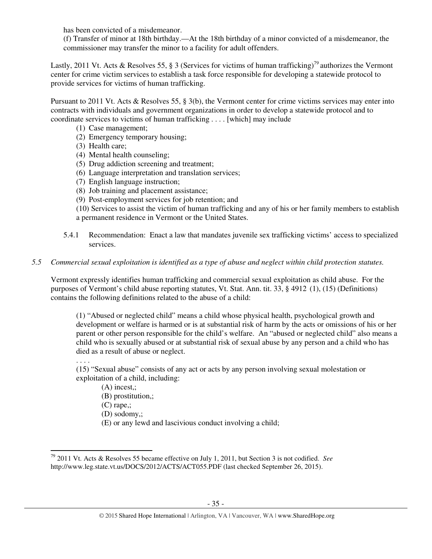has been convicted of a misdemeanor.

(f) Transfer of minor at 18th birthday.—At the 18th birthday of a minor convicted of a misdemeanor, the commissioner may transfer the minor to a facility for adult offenders.

Lastly, 2011 Vt. Acts & Resolves 55, § 3 (Services for victims of human trafficking)<sup>79</sup> authorizes the Vermont center for crime victim services to establish a task force responsible for developing a statewide protocol to provide services for victims of human trafficking.

Pursuant to 2011 Vt. Acts & Resolves 55, § 3(b), the Vermont center for crime victims services may enter into contracts with individuals and government organizations in order to develop a statewide protocol and to coordinate services to victims of human trafficking . . . . [which] may include

- (1) Case management;
- (2) Emergency temporary housing;
- (3) Health care;
- (4) Mental health counseling;
- (5) Drug addiction screening and treatment;
- (6) Language interpretation and translation services;
- (7) English language instruction;
- (8) Job training and placement assistance;
- (9) Post-employment services for job retention; and

(10) Services to assist the victim of human trafficking and any of his or her family members to establish a permanent residence in Vermont or the United States.

5.4.1 Recommendation: Enact a law that mandates juvenile sex trafficking victims' access to specialized services.

# *5.5 Commercial sexual exploitation is identified as a type of abuse and neglect within child protection statutes.*

Vermont expressly identifies human trafficking and commercial sexual exploitation as child abuse. For the purposes of Vermont's child abuse reporting statutes, Vt. Stat. Ann. tit. 33, § 4912 (1), (15) (Definitions) contains the following definitions related to the abuse of a child:

(1) "Abused or neglected child" means a child whose physical health, psychological growth and development or welfare is harmed or is at substantial risk of harm by the acts or omissions of his or her parent or other person responsible for the child's welfare. An "abused or neglected child" also means a child who is sexually abused or at substantial risk of sexual abuse by any person and a child who has died as a result of abuse or neglect.

. . . .

 $\overline{a}$ 

(15) "Sexual abuse" consists of any act or acts by any person involving sexual molestation or exploitation of a child, including:

(A) incest,;

(B) prostitution,;

(C) rape,;

(D) sodomy,;

(E) or any lewd and lascivious conduct involving a child;

<sup>79</sup> 2011 Vt. Acts & Resolves 55 became effective on July 1, 2011, but Section 3 is not codified. *See* http://www.leg.state.vt.us/DOCS/2012/ACTS/ACT055.PDF (last checked September 26, 2015).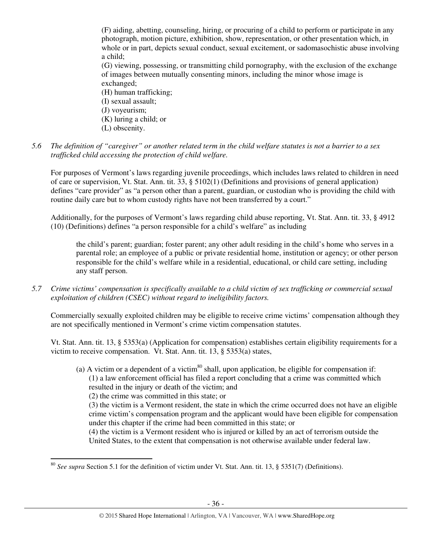(F) aiding, abetting, counseling, hiring, or procuring of a child to perform or participate in any photograph, motion picture, exhibition, show, representation, or other presentation which, in whole or in part, depicts sexual conduct, sexual excitement, or sadomasochistic abuse involving a child;

(G) viewing, possessing, or transmitting child pornography, with the exclusion of the exchange of images between mutually consenting minors, including the minor whose image is exchanged;

(H) human trafficking; (I) sexual assault; (J) voyeurism; (K) luring a child; or (L) obscenity.

*5.6 The definition of "caregiver" or another related term in the child welfare statutes is not a barrier to a sex trafficked child accessing the protection of child welfare.* 

For purposes of Vermont's laws regarding juvenile proceedings, which includes laws related to children in need of care or supervision, Vt. Stat. Ann. tit. 33, § 5102(1) (Definitions and provisions of general application) defines "care provider" as "a person other than a parent, guardian, or custodian who is providing the child with routine daily care but to whom custody rights have not been transferred by a court."

Additionally, for the purposes of Vermont's laws regarding child abuse reporting, Vt. Stat. Ann. tit. 33, § 4912 (10) (Definitions) defines "a person responsible for a child's welfare" as including

the child's parent; guardian; foster parent; any other adult residing in the child's home who serves in a parental role; an employee of a public or private residential home, institution or agency; or other person responsible for the child's welfare while in a residential, educational, or child care setting, including any staff person.

*5.7 Crime victims' compensation is specifically available to a child victim of sex trafficking or commercial sexual exploitation of children (CSEC) without regard to ineligibility factors.* 

Commercially sexually exploited children may be eligible to receive crime victims' compensation although they are not specifically mentioned in Vermont's crime victim compensation statutes.

Vt. Stat. Ann. tit. 13, § 5353(a) (Application for compensation) establishes certain eligibility requirements for a victim to receive compensation. Vt. Stat. Ann. tit. 13, § 5353(a) states,

(a) A victim or a dependent of a victim<sup>80</sup> shall, upon application, be eligible for compensation if: (1) a law enforcement official has filed a report concluding that a crime was committed which resulted in the injury or death of the victim; and (2) the crime was committed in this state; or (3) the victim is a Vermont resident, the state in which the crime occurred does not have an eligible crime victim's compensation program and the applicant would have been eligible for compensation under this chapter if the crime had been committed in this state; or (4) the victim is a Vermont resident who is injured or killed by an act of terrorism outside the United States, to the extent that compensation is not otherwise available under federal law.

 $\overline{a}$ 

<sup>80</sup> *See supra* Section 5.1 for the definition of victim under Vt. Stat. Ann. tit. 13, § 5351(7) (Definitions).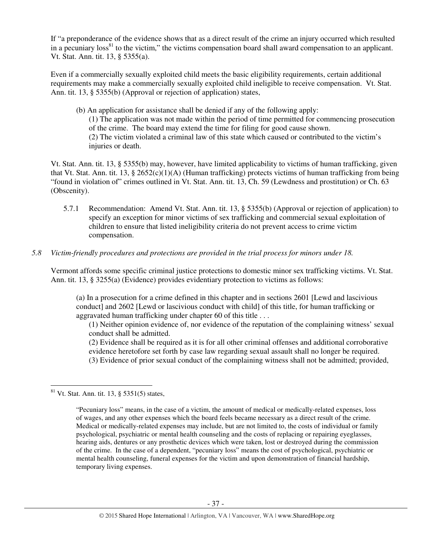If "a preponderance of the evidence shows that as a direct result of the crime an injury occurred which resulted in a pecuniary loss<sup>81</sup> to the victim," the victims compensation board shall award compensation to an applicant. Vt. Stat. Ann. tit. 13, § 5355(a).

Even if a commercially sexually exploited child meets the basic eligibility requirements, certain additional requirements may make a commercially sexually exploited child ineligible to receive compensation. Vt. Stat. Ann. tit. 13, § 5355(b) (Approval or rejection of application) states,

(b) An application for assistance shall be denied if any of the following apply: (1) The application was not made within the period of time permitted for commencing prosecution of the crime. The board may extend the time for filing for good cause shown. (2) The victim violated a criminal law of this state which caused or contributed to the victim's injuries or death.

Vt. Stat. Ann. tit. 13, § 5355(b) may, however, have limited applicability to victims of human trafficking, given that Vt. Stat. Ann. tit. 13, § 2652(c)(1)(A) (Human trafficking) protects victims of human trafficking from being "found in violation of" crimes outlined in Vt. Stat. Ann. tit. 13, Ch. 59 (Lewdness and prostitution) or Ch. 63 (Obscenity).

5.7.1 Recommendation: Amend Vt. Stat. Ann. tit. 13, § 5355(b) (Approval or rejection of application) to specify an exception for minor victims of sex trafficking and commercial sexual exploitation of children to ensure that listed ineligibility criteria do not prevent access to crime victim compensation.

# *5.8 Victim-friendly procedures and protections are provided in the trial process for minors under 18.*

Vermont affords some specific criminal justice protections to domestic minor sex trafficking victims. Vt. Stat. Ann. tit. 13, § 3255(a) (Evidence) provides evidentiary protection to victims as follows:

(a) In a prosecution for a crime defined in this chapter and in sections 2601 [Lewd and lascivious conduct] and 2602 [Lewd or lascivious conduct with child] of this title, for human trafficking or aggravated human trafficking under chapter 60 of this title . . .

(1) Neither opinion evidence of, nor evidence of the reputation of the complaining witness' sexual conduct shall be admitted.

(2) Evidence shall be required as it is for all other criminal offenses and additional corroborative evidence heretofore set forth by case law regarding sexual assault shall no longer be required. (3) Evidence of prior sexual conduct of the complaining witness shall not be admitted; provided,

 $81$  Vt. Stat. Ann. tit. 13, § 5351(5) states,

<sup>&</sup>quot;Pecuniary loss" means, in the case of a victim, the amount of medical or medically-related expenses, loss of wages, and any other expenses which the board feels became necessary as a direct result of the crime. Medical or medically-related expenses may include, but are not limited to, the costs of individual or family psychological, psychiatric or mental health counseling and the costs of replacing or repairing eyeglasses, hearing aids, dentures or any prosthetic devices which were taken, lost or destroyed during the commission of the crime. In the case of a dependent, "pecuniary loss" means the cost of psychological, psychiatric or mental health counseling, funeral expenses for the victim and upon demonstration of financial hardship, temporary living expenses.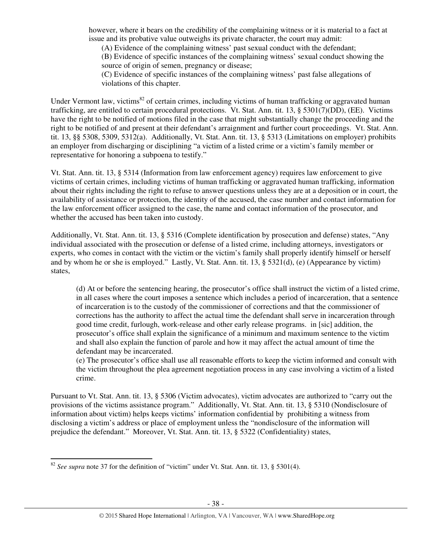however, where it bears on the credibility of the complaining witness or it is material to a fact at issue and its probative value outweighs its private character, the court may admit:

(A) Evidence of the complaining witness' past sexual conduct with the defendant;

(B) Evidence of specific instances of the complaining witness' sexual conduct showing the source of origin of semen, pregnancy or disease;

(C) Evidence of specific instances of the complaining witness' past false allegations of violations of this chapter.

Under Vermont law, victims<sup>82</sup> of certain crimes, including victims of human trafficking or aggravated human trafficking, are entitled to certain procedural protections. Vt. Stat. Ann. tit. 13, § 5301(7)(DD), (EE). Victims have the right to be notified of motions filed in the case that might substantially change the proceeding and the right to be notified of and present at their defendant's arraignment and further court proceedings. Vt. Stat. Ann. tit. 13, §§ 5308, 5309, 5312(a). Additionally, Vt. Stat. Ann. tit. 13, § 5313 (Limitations on employer) prohibits an employer from discharging or disciplining "a victim of a listed crime or a victim's family member or representative for honoring a subpoena to testify."

Vt. Stat. Ann. tit. 13, § 5314 (Information from law enforcement agency) requires law enforcement to give victims of certain crimes, including victims of human trafficking or aggravated human trafficking, information about their rights including the right to refuse to answer questions unless they are at a deposition or in court, the availability of assistance or protection, the identity of the accused, the case number and contact information for the law enforcement officer assigned to the case, the name and contact information of the prosecutor, and whether the accused has been taken into custody.

Additionally, Vt. Stat. Ann. tit. 13, § 5316 (Complete identification by prosecution and defense) states, "Any individual associated with the prosecution or defense of a listed crime, including attorneys, investigators or experts, who comes in contact with the victim or the victim's family shall properly identify himself or herself and by whom he or she is employed." Lastly, Vt. Stat. Ann. tit. 13, § 5321(d), (e) (Appearance by victim) states,

(d) At or before the sentencing hearing, the prosecutor's office shall instruct the victim of a listed crime, in all cases where the court imposes a sentence which includes a period of incarceration, that a sentence of incarceration is to the custody of the commissioner of corrections and that the commissioner of corrections has the authority to affect the actual time the defendant shall serve in incarceration through good time credit, furlough, work-release and other early release programs. in [sic] addition, the prosecutor's office shall explain the significance of a minimum and maximum sentence to the victim and shall also explain the function of parole and how it may affect the actual amount of time the defendant may be incarcerated.

(e) The prosecutor's office shall use all reasonable efforts to keep the victim informed and consult with the victim throughout the plea agreement negotiation process in any case involving a victim of a listed crime.

Pursuant to Vt. Stat. Ann. tit. 13, § 5306 (Victim advocates), victim advocates are authorized to "carry out the provisions of the victims assistance program." Additionally, Vt. Stat. Ann. tit. 13, § 5310 (Nondisclosure of information about victim) helps keeps victims' information confidential by prohibiting a witness from disclosing a victim's address or place of employment unless the "nondisclosure of the information will prejudice the defendant." Moreover, Vt. Stat. Ann. tit. 13, § 5322 (Confidentiality) states,

 $\overline{a}$ 

<sup>&</sup>lt;sup>82</sup> *See supra* note 37 for the definition of "victim" under Vt. Stat. Ann. tit. 13, § 5301(4).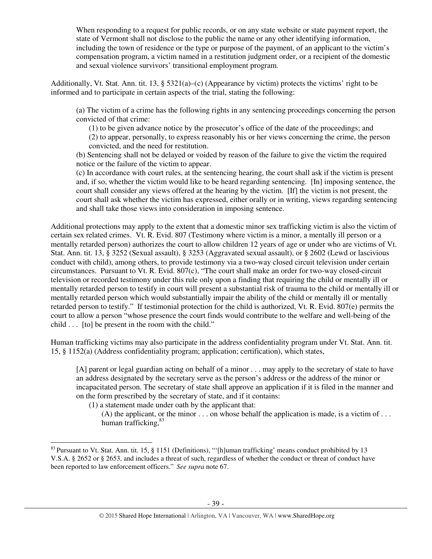When responding to a request for public records, or on any state website or state payment report, the state of Vermont shall not disclose to the public the name or any other identifying information, including the town of residence or the type or purpose of the payment, of an applicant to the victim's compensation program, a victim named in a restitution judgment order, or a recipient of the domestic and sexual violence survivors' transitional employment program.

Additionally, Vt. Stat. Ann. tit. 13, § 5321(a)–(c) (Appearance by victim) protects the victims' right to be informed and to participate in certain aspects of the trial, stating the following:

(a) The victim of a crime has the following rights in any sentencing proceedings concerning the person convicted of that crime:

(1) to be given advance notice by the prosecutor's office of the date of the proceedings; and (2) to appear, personally, to express reasonably his or her views concerning the crime, the person convicted, and the need for restitution.

(b) Sentencing shall not be delayed or voided by reason of the failure to give the victim the required notice or the failure of the victim to appear.

(c) In accordance with court rules, at the sentencing hearing, the court shall ask if the victim is present and, if so, whether the victim would like to be heard regarding sentencing. [In] imposing sentence, the court shall consider any views offered at the hearing by the victim. [If] the victim is not present, the court shall ask whether the victim has expressed, either orally or in writing, views regarding sentencing and shall take those views into consideration in imposing sentence.

Additional protections may apply to the extent that a domestic minor sex trafficking victim is also the victim of certain sex related crimes. Vt. R. Evid. 807 (Testimony where victim is a minor, a mentally ill person or a mentally retarded person) authorizes the court to allow children 12 years of age or under who are victims of Vt. Stat. Ann. tit. 13, § 3252 (Sexual assault), § 3253 (Aggravated sexual assault), or § 2602 (Lewd or lascivious conduct with child), among others, to provide testimony via a two-way closed circuit television under certain circumstances. Pursuant to Vt. R. Evid. 807(c), "The court shall make an order for two-way closed-circuit television or recorded testimony under this rule only upon a finding that requiring the child or mentally ill or mentally retarded person to testify in court will present a substantial risk of trauma to the child or mentally ill or mentally retarded person which would substantially impair the ability of the child or mentally ill or mentally retarded person to testify." If testimonial protection for the child is authorized, Vt. R. Evid. 807(e) permits the court to allow a person "whose presence the court finds would contribute to the welfare and well-being of the child . . . [to] be present in the room with the child."

Human trafficking victims may also participate in the address confidentiality program under Vt. Stat. Ann. tit. 15, § 1152(a) (Address confidentiality program; application; certification), which states,

[A] parent or legal guardian acting on behalf of a minor . . . may apply to the secretary of state to have an address designated by the secretary serve as the person's address or the address of the minor or incapacitated person. The secretary of state shall approve an application if it is filed in the manner and on the form prescribed by the secretary of state, and if it contains:

(1) a statement made under oath by the applicant that:

 $\overline{a}$ 

(A) the applicant, or the minor  $\ldots$  on whose behalf the application is made, is a victim of  $\ldots$ human trafficking, $83$ 

<sup>&</sup>lt;sup>83</sup> Pursuant to Vt. Stat. Ann. tit. 15, § 1151 (Definitions), "'[h]uman trafficking' means conduct prohibited by 13 V.S.A. § 2652 or § 2653, and includes a threat of such, regardless of whether the conduct or threat of conduct have been reported to law enforcement officers." *See supra* note 67.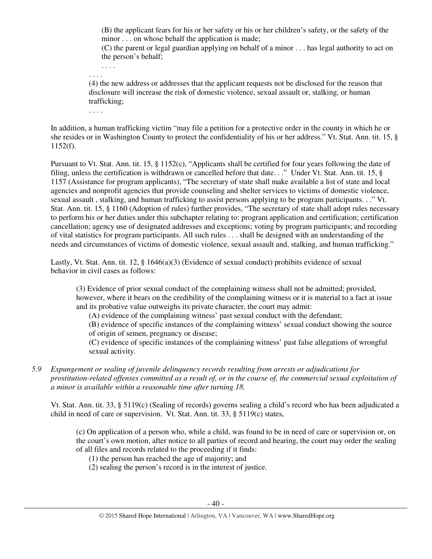(B) the applicant fears for his or her safety or his or her children's safety, or the safety of the minor . . . on whose behalf the application is made;

(C) the parent or legal guardian applying on behalf of a minor . . . has legal authority to act on the person's behalf;

. . . . . . . .

(4) the new address or addresses that the applicant requests not be disclosed for the reason that disclosure will increase the risk of domestic violence, sexual assault or, stalking, or human trafficking;

. . . .

In addition, a human trafficking victim "may file a petition for a protective order in the county in which he or she resides or in Washington County to protect the confidentiality of his or her address." Vt. Stat. Ann. tit. 15, §  $1152(f)$ .

Pursuant to Vt. Stat. Ann. tit. 15, § 1152(c), "Applicants shall be certified for four years following the date of filing, unless the certification is withdrawn or cancelled before that date. . ." Under Vt. Stat. Ann. tit. 15, § 1157 (Assistance for program applicants), "The secretary of state shall make available a list of state and local agencies and nonprofit agencies that provide counseling and shelter services to victims of domestic violence, sexual assault , stalking, and human trafficking to assist persons applying to be program participants. . ." Vt. Stat. Ann. tit. 15, § 1160 (Adoption of rules) further provides, "The secretary of state shall adopt rules necessary to perform his or her duties under this subchapter relating to: program application and certification; certification cancellation; agency use of designated addresses and exceptions; voting by program participants; and recording of vital statistics for program participants. All such rules . . . shall be designed with an understanding of the needs and circumstances of victims of domestic violence, sexual assault and, stalking, and human trafficking."

Lastly, Vt. Stat. Ann. tit. 12, § 1646(a)(3) (Evidence of sexual conduct) prohibits evidence of sexual behavior in civil cases as follows:

(3) Evidence of prior sexual conduct of the complaining witness shall not be admitted; provided, however, where it bears on the credibility of the complaining witness or it is material to a fact at issue and its probative value outweighs its private character, the court may admit:

(A) evidence of the complaining witness' past sexual conduct with the defendant;

(B) evidence of specific instances of the complaining witness' sexual conduct showing the source of origin of semen, pregnancy or disease;

(C) evidence of specific instances of the complaining witness' past false allegations of wrongful sexual activity.

*5.9 Expungement or sealing of juvenile delinquency records resulting from arrests or adjudications for prostitution-related offenses committed as a result of, or in the course of, the commercial sexual exploitation of a minor is available within a reasonable time after turning 18.* 

Vt. Stat. Ann. tit. 33, § 5119(c) (Sealing of records) governs sealing a child's record who has been adjudicated a child in need of care or supervision. Vt. Stat. Ann. tit. 33, § 5119(c) states,

(c) On application of a person who, while a child, was found to be in need of care or supervision or, on the court's own motion, after notice to all parties of record and hearing, the court may order the sealing of all files and records related to the proceeding if it finds:

(1) the person has reached the age of majority; and

(2) sealing the person's record is in the interest of justice.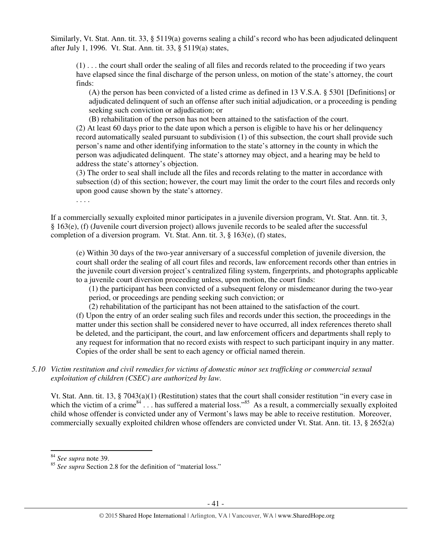Similarly, Vt. Stat. Ann. tit. 33, § 5119(a) governs sealing a child's record who has been adjudicated delinquent after July 1, 1996. Vt. Stat. Ann. tit. 33, § 5119(a) states,

(1) . . . the court shall order the sealing of all files and records related to the proceeding if two years have elapsed since the final discharge of the person unless, on motion of the state's attorney, the court finds:

(A) the person has been convicted of a listed crime as defined in 13 V.S.A. § 5301 [Definitions] or adjudicated delinquent of such an offense after such initial adjudication, or a proceeding is pending seeking such conviction or adjudication; or

(B) rehabilitation of the person has not been attained to the satisfaction of the court.

(2) At least 60 days prior to the date upon which a person is eligible to have his or her delinquency record automatically sealed pursuant to subdivision (1) of this subsection, the court shall provide such person's name and other identifying information to the state's attorney in the county in which the person was adjudicated delinquent. The state's attorney may object, and a hearing may be held to address the state's attorney's objection.

(3) The order to seal shall include all the files and records relating to the matter in accordance with subsection (d) of this section; however, the court may limit the order to the court files and records only upon good cause shown by the state's attorney.

. . . .

If a commercially sexually exploited minor participates in a juvenile diversion program, Vt. Stat. Ann. tit. 3, § 163(e), (f) (Juvenile court diversion project) allows juvenile records to be sealed after the successful completion of a diversion program. Vt. Stat. Ann. tit. 3, § 163(e), (f) states,

(e) Within 30 days of the two-year anniversary of a successful completion of juvenile diversion, the court shall order the sealing of all court files and records, law enforcement records other than entries in the juvenile court diversion project's centralized filing system, fingerprints, and photographs applicable to a juvenile court diversion proceeding unless, upon motion, the court finds:

(1) the participant has been convicted of a subsequent felony or misdemeanor during the two-year period, or proceedings are pending seeking such conviction; or

(2) rehabilitation of the participant has not been attained to the satisfaction of the court.

(f) Upon the entry of an order sealing such files and records under this section, the proceedings in the matter under this section shall be considered never to have occurred, all index references thereto shall be deleted, and the participant, the court, and law enforcement officers and departments shall reply to any request for information that no record exists with respect to such participant inquiry in any matter. Copies of the order shall be sent to each agency or official named therein.

# *5.10 Victim restitution and civil remedies for victims of domestic minor sex trafficking or commercial sexual exploitation of children (CSEC) are authorized by law.*

Vt. Stat. Ann. tit. 13, § 7043(a)(1) (Restitution) states that the court shall consider restitution "in every case in which the victim of a crime<sup>84</sup>  $\dots$  has suffered a material loss.<sup>85</sup> As a result, a commercially sexually exploited child whose offender is convicted under any of Vermont's laws may be able to receive restitution. Moreover, commercially sexually exploited children whose offenders are convicted under Vt. Stat. Ann. tit. 13, § 2652(a)

<sup>84</sup> *See supra* note 39.

<sup>&</sup>lt;sup>85</sup> See supra Section 2.8 for the definition of "material loss."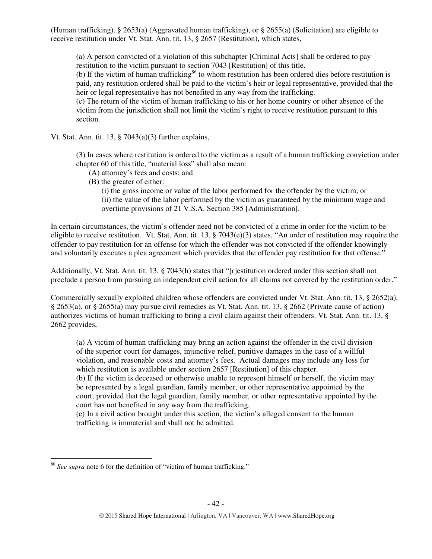(Human trafficking), § 2653(a) (Aggravated human trafficking), or § 2655(a) (Solicitation) are eligible to receive restitution under Vt. Stat. Ann. tit. 13, § 2657 (Restitution), which states,

(a) A person convicted of a violation of this subchapter [Criminal Acts] shall be ordered to pay restitution to the victim pursuant to section 7043 [Restitution] of this title.

(b) If the victim of human trafficking<sup>86</sup> to whom restitution has been ordered dies before restitution is paid, any restitution ordered shall be paid to the victim's heir or legal representative, provided that the heir or legal representative has not benefited in any way from the trafficking.

(c) The return of the victim of human trafficking to his or her home country or other absence of the victim from the jurisdiction shall not limit the victim's right to receive restitution pursuant to this section.

Vt. Stat. Ann. tit. 13,  $\S$  7043(a)(3) further explains,

(3) In cases where restitution is ordered to the victim as a result of a human trafficking conviction under chapter 60 of this title, "material loss" shall also mean:

- (A) attorney's fees and costs; and
- (B) the greater of either:

(i) the gross income or value of the labor performed for the offender by the victim; or (ii) the value of the labor performed by the victim as guaranteed by the minimum wage and overtime provisions of 21 V.S.A. Section 385 [Administration].

In certain circumstances, the victim's offender need not be convicted of a crime in order for the victim to be eligible to receive restitution. Vt. Stat. Ann. tit. 13, § 7043(e)(3) states, "An order of restitution may require the offender to pay restitution for an offense for which the offender was not convicted if the offender knowingly and voluntarily executes a plea agreement which provides that the offender pay restitution for that offense."

Additionally, Vt. Stat. Ann. tit. 13, § 7043(h) states that "[r]estitution ordered under this section shall not preclude a person from pursuing an independent civil action for all claims not covered by the restitution order."

Commercially sexually exploited children whose offenders are convicted under Vt. Stat. Ann. tit. 13, § 2652(a), § 2653(a), or § 2655(a) may pursue civil remedies as Vt. Stat. Ann. tit. 13, § 2662 (Private cause of action) authorizes victims of human trafficking to bring a civil claim against their offenders. Vt. Stat. Ann. tit. 13, § 2662 provides,

(a) A victim of human trafficking may bring an action against the offender in the civil division of the superior court for damages, injunctive relief, punitive damages in the case of a willful violation, and reasonable costs and attorney's fees. Actual damages may include any loss for which restitution is available under section 2657 [Restitution] of this chapter.

(b) If the victim is deceased or otherwise unable to represent himself or herself, the victim may be represented by a legal guardian, family member, or other representative appointed by the court, provided that the legal guardian, family member, or other representative appointed by the court has not benefited in any way from the trafficking.

(c) In a civil action brought under this section, the victim's alleged consent to the human trafficking is immaterial and shall not be admitted.

<sup>86</sup> *See supra* note 6 for the definition of "victim of human trafficking."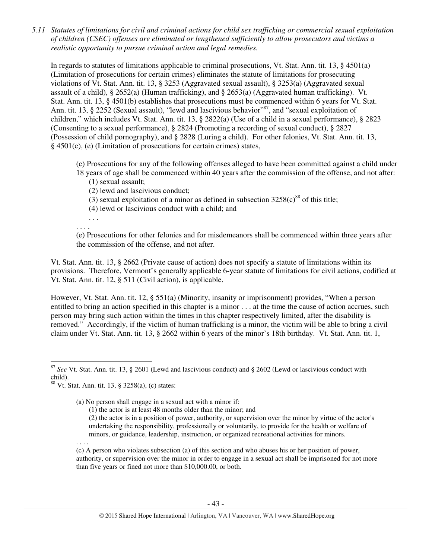*5.11 Statutes of limitations for civil and criminal actions for child sex trafficking or commercial sexual exploitation of children (CSEC) offenses are eliminated or lengthened sufficiently to allow prosecutors and victims a realistic opportunity to pursue criminal action and legal remedies.* 

In regards to statutes of limitations applicable to criminal prosecutions, Vt. Stat. Ann. tit. 13, § 4501(a) (Limitation of prosecutions for certain crimes) eliminates the statute of limitations for prosecuting violations of Vt. Stat. Ann. tit. 13, § 3253 (Aggravated sexual assault), § 3253(a) (Aggravated sexual assault of a child), § 2652(a) (Human trafficking), and § 2653(a) (Aggravated human trafficking). Vt. Stat. Ann. tit. 13, § 4501(b) establishes that prosecutions must be commenced within 6 years for Vt. Stat. Ann. tit. 13, § 2252 (Sexual assault), "lewd and lascivious behavior"<sup>87</sup>, and "sexual exploitation of children," which includes Vt. Stat. Ann. tit. 13, § 2822(a) (Use of a child in a sexual performance), § 2823 (Consenting to a sexual performance), § 2824 (Promoting a recording of sexual conduct), § 2827 (Possession of child pornography), and § 2828 (Luring a child). For other felonies, Vt. Stat. Ann. tit. 13, § 4501(c), (e) (Limitation of prosecutions for certain crimes) states,

(c) Prosecutions for any of the following offenses alleged to have been committed against a child under

- 18 years of age shall be commenced within 40 years after the commission of the offense, and not after: (1) sexual assault;
	- (2) lewd and lascivious conduct;
	- (3) sexual exploitation of a minor as defined in subsection  $3258(c)^{88}$  of this title;
	- (4) lewd or lascivious conduct with a child; and

. . . . . . .

(e) Prosecutions for other felonies and for misdemeanors shall be commenced within three years after the commission of the offense, and not after.

Vt. Stat. Ann. tit. 13, § 2662 (Private cause of action) does not specify a statute of limitations within its provisions. Therefore, Vermont's generally applicable 6-year statute of limitations for civil actions, codified at Vt. Stat. Ann. tit. 12, § 511 (Civil action), is applicable.

However, Vt. Stat. Ann. tit. 12, § 551(a) (Minority, insanity or imprisonment) provides, "When a person entitled to bring an action specified in this chapter is a minor . . . at the time the cause of action accrues, such person may bring such action within the times in this chapter respectively limited, after the disability is removed." Accordingly, if the victim of human trafficking is a minor, the victim will be able to bring a civil claim under Vt. Stat. Ann. tit. 13, § 2662 within 6 years of the minor's 18th birthday. Vt. Stat. Ann. tit. 1,

- (1) the actor is at least 48 months older than the minor; and
- (2) the actor is in a position of power, authority, or supervision over the minor by virtue of the actor's undertaking the responsibility, professionally or voluntarily, to provide for the health or welfare of minors, or guidance, leadership, instruction, or organized recreational activities for minors.

. . . .

l

(c) A person who violates subsection (a) of this section and who abuses his or her position of power, authority, or supervision over the minor in order to engage in a sexual act shall be imprisoned for not more than five years or fined not more than \$10,000.00, or both.

<sup>87</sup> *See* Vt. Stat. Ann. tit. 13, § 2601 (Lewd and lascivious conduct) and § 2602 (Lewd or lascivious conduct with child).

<sup>88</sup> Vt. Stat. Ann. tit. 13, § 3258(a), (c) states:

<sup>(</sup>a) No person shall engage in a sexual act with a minor if: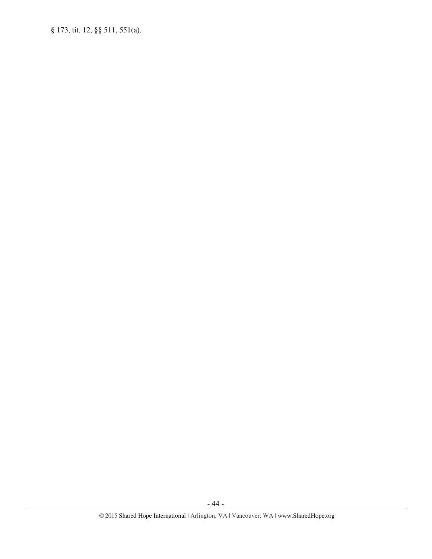§ 173, tit. 12, §§ 511, 551(a).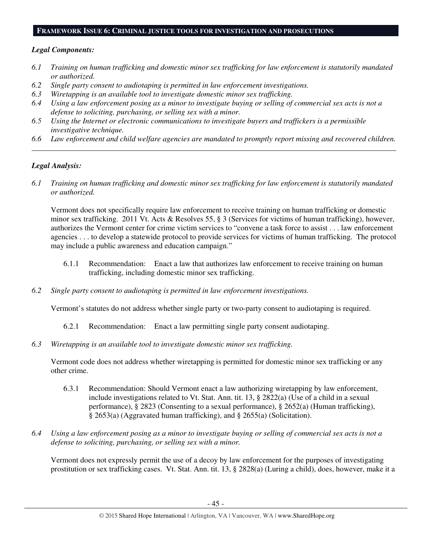# **FRAMEWORK ISSUE 6: CRIMINAL JUSTICE TOOLS FOR INVESTIGATION AND PROSECUTIONS**

# *Legal Components:*

- *6.1 Training on human trafficking and domestic minor sex trafficking for law enforcement is statutorily mandated or authorized.*
- *6.2 Single party consent to audiotaping is permitted in law enforcement investigations.*
- *6.3 Wiretapping is an available tool to investigate domestic minor sex trafficking.*
- *6.4 Using a law enforcement posing as a minor to investigate buying or selling of commercial sex acts is not a defense to soliciting, purchasing, or selling sex with a minor.*
- *6.5 Using the Internet or electronic communications to investigate buyers and traffickers is a permissible investigative technique.*
- *6.6 Law enforcement and child welfare agencies are mandated to promptly report missing and recovered children. \_\_\_\_\_\_\_\_\_\_\_\_\_\_\_\_\_\_\_\_\_\_\_\_\_\_\_\_\_\_\_\_\_\_\_\_\_\_\_\_\_\_\_\_\_\_\_\_\_\_\_\_\_\_\_\_\_\_\_\_\_\_\_\_\_\_\_\_\_\_\_\_\_\_\_\_\_\_\_\_\_\_\_\_\_\_\_\_\_\_\_\_\_\_*

# *Legal Analysis:*

*6.1 Training on human trafficking and domestic minor sex trafficking for law enforcement is statutorily mandated or authorized.* 

Vermont does not specifically require law enforcement to receive training on human trafficking or domestic minor sex trafficking. 2011 Vt. Acts & Resolves 55, § 3 (Services for victims of human trafficking), however, authorizes the Vermont center for crime victim services to "convene a task force to assist . . . law enforcement agencies . . . to develop a statewide protocol to provide services for victims of human trafficking. The protocol may include a public awareness and education campaign."

- 6.1.1 Recommendation: Enact a law that authorizes law enforcement to receive training on human trafficking, including domestic minor sex trafficking.
- *6.2 Single party consent to audiotaping is permitted in law enforcement investigations.*

Vermont's statutes do not address whether single party or two-party consent to audiotaping is required.

- 6.2.1 Recommendation: Enact a law permitting single party consent audiotaping.
- *6.3 Wiretapping is an available tool to investigate domestic minor sex trafficking.*

Vermont code does not address whether wiretapping is permitted for domestic minor sex trafficking or any other crime.

- 6.3.1 Recommendation: Should Vermont enact a law authorizing wiretapping by law enforcement, include investigations related to Vt. Stat. Ann. tit. 13, § 2822(a) (Use of a child in a sexual performance), § 2823 (Consenting to a sexual performance), § 2652(a) (Human trafficking), § 2653(a) (Aggravated human trafficking), and § 2655(a) (Solicitation).
- *6.4 Using a law enforcement posing as a minor to investigate buying or selling of commercial sex acts is not a defense to soliciting, purchasing, or selling sex with a minor.*

Vermont does not expressly permit the use of a decoy by law enforcement for the purposes of investigating prostitution or sex trafficking cases. Vt. Stat. Ann. tit. 13, § 2828(a) (Luring a child), does, however, make it a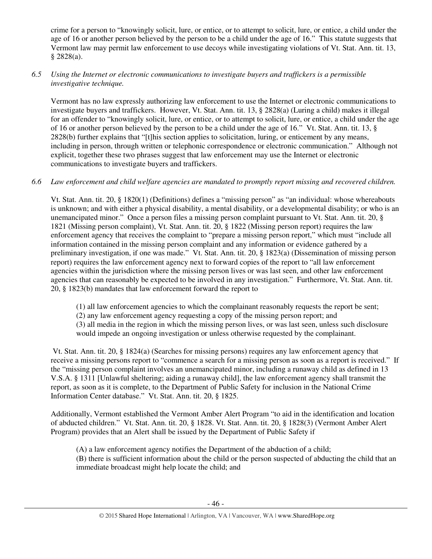crime for a person to "knowingly solicit, lure, or entice, or to attempt to solicit, lure, or entice, a child under the age of 16 or another person believed by the person to be a child under the age of 16." This statute suggests that Vermont law may permit law enforcement to use decoys while investigating violations of Vt. Stat. Ann. tit. 13, § 2828(a).

# *6.5 Using the Internet or electronic communications to investigate buyers and traffickers is a permissible investigative technique.*

Vermont has no law expressly authorizing law enforcement to use the Internet or electronic communications to investigate buyers and traffickers. However, Vt. Stat. Ann. tit. 13, § 2828(a) (Luring a child) makes it illegal for an offender to "knowingly solicit, lure, or entice, or to attempt to solicit, lure, or entice, a child under the age of 16 or another person believed by the person to be a child under the age of 16." Vt. Stat. Ann. tit. 13, § 2828(b) further explains that "[t]his section applies to solicitation, luring, or enticement by any means, including in person, through written or telephonic correspondence or electronic communication." Although not explicit, together these two phrases suggest that law enforcement may use the Internet or electronic communications to investigate buyers and traffickers.

# *6.6 Law enforcement and child welfare agencies are mandated to promptly report missing and recovered children.*

Vt. Stat. Ann. tit. 20, § 1820(1) (Definitions) defines a "missing person" as "an individual: whose whereabouts is unknown; and with either a physical disability, a mental disability, or a developmental disability; or who is an unemancipated minor." Once a person files a missing person complaint pursuant to Vt. Stat. Ann. tit. 20, § 1821 (Missing person complaint), Vt. Stat. Ann. tit. 20, § 1822 (Missing person report) requires the law enforcement agency that receives the complaint to "prepare a missing person report," which must "include all information contained in the missing person complaint and any information or evidence gathered by a preliminary investigation, if one was made." Vt. Stat. Ann. tit. 20, § 1823(a) (Dissemination of missing person report) requires the law enforcement agency next to forward copies of the report to "all law enforcement agencies within the jurisdiction where the missing person lives or was last seen, and other law enforcement agencies that can reasonably be expected to be involved in any investigation." Furthermore, Vt. Stat. Ann. tit. 20, § 1823(b) mandates that law enforcement forward the report to

(1) all law enforcement agencies to which the complainant reasonably requests the report be sent;

(2) any law enforcement agency requesting a copy of the missing person report; and

(3) all media in the region in which the missing person lives, or was last seen, unless such disclosure would impede an ongoing investigation or unless otherwise requested by the complainant.

 Vt. Stat. Ann. tit. 20, § 1824(a) (Searches for missing persons) requires any law enforcement agency that receive a missing persons report to "commence a search for a missing person as soon as a report is received." If the "missing person complaint involves an unemancipated minor, including a runaway child as defined in 13 V.S.A. § 1311 [Unlawful sheltering; aiding a runaway child], the law enforcement agency shall transmit the report, as soon as it is complete, to the Department of Public Safety for inclusion in the National Crime Information Center database." Vt. Stat. Ann. tit. 20, § 1825.

Additionally, Vermont established the Vermont Amber Alert Program "to aid in the identification and location of abducted children." Vt. Stat. Ann. tit. 20, § 1828. Vt. Stat. Ann. tit. 20, § 1828(3) (Vermont Amber Alert Program) provides that an Alert shall be issued by the Department of Public Safety if

(A) a law enforcement agency notifies the Department of the abduction of a child; (B) there is sufficient information about the child or the person suspected of abducting the child that an immediate broadcast might help locate the child; and